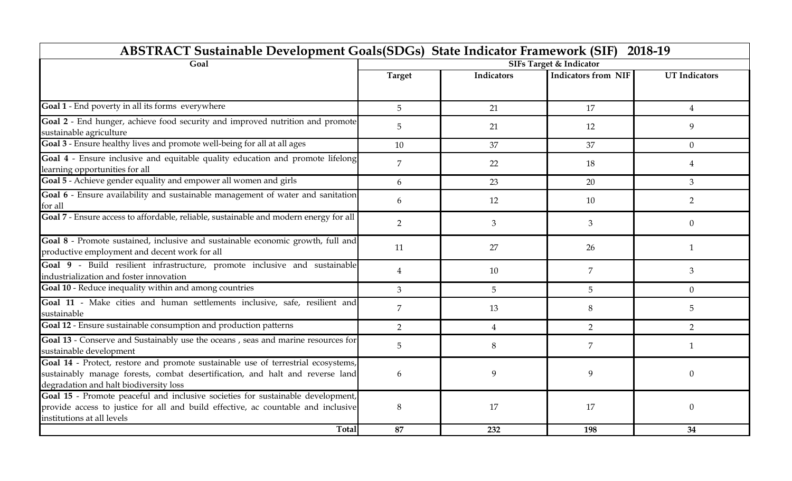| <b>ABSTRACT Sustainable Development Goals (SDGs) State Indicator Framework (SIF)</b><br>2018-19                                                                                                              |                |                |                                    |                      |
|--------------------------------------------------------------------------------------------------------------------------------------------------------------------------------------------------------------|----------------|----------------|------------------------------------|----------------------|
| Goal                                                                                                                                                                                                         |                |                | <b>SIFs Target &amp; Indicator</b> |                      |
|                                                                                                                                                                                                              | <b>Target</b>  | Indicators     | <b>Indicators from NIF</b>         | <b>UT</b> Indicators |
| Goal 1 - End poverty in all its forms everywhere                                                                                                                                                             | 5              | 21             | 17                                 | $\overline{4}$       |
| Goal 2 - End hunger, achieve food security and improved nutrition and promote<br>sustainable agriculture                                                                                                     | 5              | 21             | 12                                 | 9                    |
| Goal 3 - Ensure healthy lives and promote well-being for all at all ages                                                                                                                                     | 10             | 37             | 37                                 | $\theta$             |
| Goal 4 - Ensure inclusive and equitable quality education and promote lifelong<br>learning opportunities for all                                                                                             | $\overline{7}$ | 22             | 18                                 | $\overline{4}$       |
| Goal 5 - Achieve gender equality and empower all women and girls                                                                                                                                             | 6              | 23             | 20                                 | 3                    |
| Goal 6 - Ensure availability and sustainable management of water and sanitation<br>for all                                                                                                                   | 6              | 12             | 10                                 | $\overline{2}$       |
| Goal 7 - Ensure access to affordable, reliable, sustainable and modern energy for all                                                                                                                        | $\overline{2}$ | 3              | 3                                  | $\theta$             |
| Goal 8 - Promote sustained, inclusive and sustainable economic growth, full and<br>productive employment and decent work for all                                                                             | 11             | 27             | 26                                 | -1                   |
| Goal 9 - Build resilient infrastructure, promote inclusive and sustainable<br>industrialization and foster innovation                                                                                        | $\overline{4}$ | 10             | 7                                  | 3                    |
| Goal 10 - Reduce inequality within and among countries                                                                                                                                                       | 3              | 5              | 5                                  | $\theta$             |
| Goal 11 - Make cities and human settlements inclusive, safe, resilient and<br>sustainable                                                                                                                    | $\overline{7}$ | 13             | 8                                  | 5                    |
| Goal 12 - Ensure sustainable consumption and production patterns                                                                                                                                             | 2              | $\overline{4}$ | $\overline{2}$                     | $\overline{2}$       |
| Goal 13 - Conserve and Sustainably use the oceans, seas and marine resources for<br>sustainable development                                                                                                  | 5              | 8              | $\overline{7}$                     | $\mathbf{1}$         |
| Goal 14 - Protect, restore and promote sustainable use of terrestrial ecosystems,<br>sustainably manage forests, combat desertification, and halt and reverse land<br>degradation and halt biodiversity loss | 6              | 9              | 9                                  | $\Omega$             |
| Goal 15 - Promote peaceful and inclusive societies for sustainable development,<br>provide access to justice for all and build effective, ac countable and inclusive<br>institutions at all levels           | 8              | 17             | 17                                 | $\Omega$             |
| Total                                                                                                                                                                                                        | 87             | 232            | 198                                | 34                   |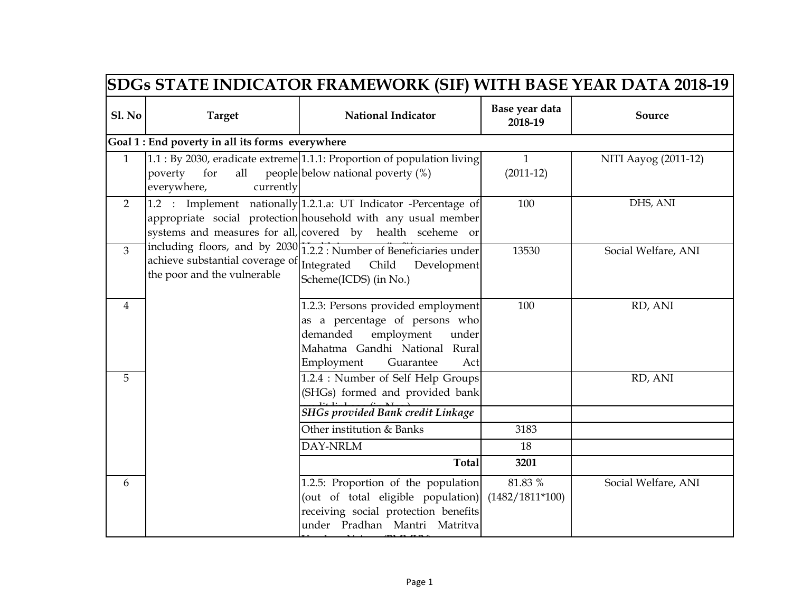|                | <b>SDGs STATE INDICATOR FRAMEWORK (SIF) WITH BASE YEAR DATA 2018-19</b>         |                                                                                                                                                                                                |                              |                      |
|----------------|---------------------------------------------------------------------------------|------------------------------------------------------------------------------------------------------------------------------------------------------------------------------------------------|------------------------------|----------------------|
| <b>Sl. No</b>  | <b>Target</b>                                                                   | <b>National Indicator</b>                                                                                                                                                                      | Base year data<br>2018-19    | Source               |
|                | Goal 1 : End poverty in all its forms everywhere                                |                                                                                                                                                                                                |                              |                      |
| $\mathbf{1}$   | for<br>all<br>poverty<br>everywhere,<br>currently                               | 1.1 : By 2030, eradicate extreme 1.1.1: Proportion of population living<br>people below national poverty (%)                                                                                   | $\mathbf{1}$<br>$(2011-12)$  | NITI Aayog (2011-12) |
| $\overline{2}$ |                                                                                 | 1.2 : Implement nationally 1.2.1.a: UT Indicator -Percentage of<br>appropriate social protection household with any usual member<br>systems and measures for all, covered by health sceheme or | 100                          | DHS, ANI             |
| $\overline{3}$ | achieve substantial coverage of Integrated Child<br>the poor and the vulnerable | including floors, and by 2030 1.2.2 : Number of Beneficiaries under<br>Development<br>Scheme(ICDS) (in No.)                                                                                    | 13530                        | Social Welfare, ANI  |
| 4              |                                                                                 | 1.2.3: Persons provided employment<br>as a percentage of persons who<br>demanded<br>employment<br>under<br>Mahatma Gandhi National Rural<br>Employment<br>Guarantee<br>Act                     | 100                          | RD, ANI              |
| 5              |                                                                                 | 1.2.4 : Number of Self Help Groups<br>(SHGs) formed and provided bank<br><b>SHGs provided Bank credit Linkage</b>                                                                              |                              | RD, ANI              |
|                |                                                                                 | Other institution & Banks                                                                                                                                                                      | 3183                         |                      |
|                |                                                                                 | DAY-NRLM                                                                                                                                                                                       | 18                           |                      |
|                |                                                                                 | <b>Total</b>                                                                                                                                                                                   | 3201                         |                      |
| 6              |                                                                                 | 1.2.5: Proportion of the population<br>(out of total eligible population)<br>receiving social protection benefits<br>under Pradhan Mantri Matritva                                             | 81.83 %<br>$(1482/1811*100)$ | Social Welfare, ANI  |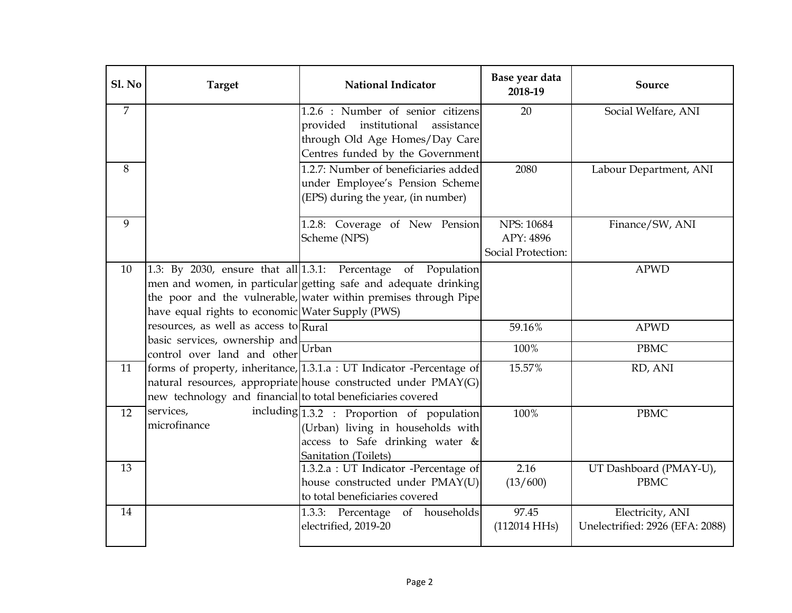| Sl. No         | <b>Target</b>                                                                   | <b>National Indicator</b>                                                                                                                                                                              | Base year data<br>2018-19                            | Source                                              |
|----------------|---------------------------------------------------------------------------------|--------------------------------------------------------------------------------------------------------------------------------------------------------------------------------------------------------|------------------------------------------------------|-----------------------------------------------------|
| $\overline{7}$ |                                                                                 | 1.2.6 : Number of senior citizens<br>provided institutional<br>assistance<br>through Old Age Homes/Day Care<br>Centres funded by the Government                                                        | 20                                                   | Social Welfare, ANI                                 |
| 8              |                                                                                 | 1.2.7: Number of beneficiaries added<br>under Employee's Pension Scheme<br>(EPS) during the year, (in number)                                                                                          | 2080                                                 | Labour Department, ANI                              |
| 9              |                                                                                 | 1.2.8: Coverage of New Pension<br>Scheme (NPS)                                                                                                                                                         | <b>NPS: 10684</b><br>APY: 4896<br>Social Protection: | Finance/SW, ANI                                     |
| 10             | have equal rights to economic Water Supply (PWS)                                | 1.3: By 2030, ensure that all $1.3.1$ : Percentage of Population<br>men and women, in particular getting safe and adequate drinking<br>the poor and the vulnerable, water within premises through Pipe |                                                      | <b>APWD</b>                                         |
|                | resources, as well as access to Rural<br>$\frac{1}{2}$ resources, $\frac{1}{2}$ |                                                                                                                                                                                                        | 59.16%                                               | <b>APWD</b>                                         |
|                | control over land and other                                                     |                                                                                                                                                                                                        | 100%                                                 | <b>PBMC</b>                                         |
| 11             | new technology and financial to total beneficiaries covered                     | forms of property, inheritance, 1.3.1.a : UT Indicator -Percentage of<br>natural resources, appropriate house constructed under PMAY(G)                                                                | 15.57%                                               | RD, ANI                                             |
| 12             | services,<br>microfinance                                                       | including $\boxed{1.3.2}$ : Proportion of population<br>(Urban) living in households with<br>access to Safe drinking water &<br>Sanitation (Toilets)                                                   | 100%                                                 | <b>PBMC</b>                                         |
| 13             |                                                                                 | 1.3.2.a : UT Indicator -Percentage of<br>house constructed under PMAY(U)<br>to total beneficiaries covered                                                                                             | 2.16<br>(13/600)                                     | UT Dashboard (PMAY-U),<br><b>PBMC</b>               |
| 14             |                                                                                 | 1.3.3: Percentage of households<br>electrified, 2019-20                                                                                                                                                | 97.45<br>(112014 HHs)                                | Electricity, ANI<br>Unelectrified: 2926 (EFA: 2088) |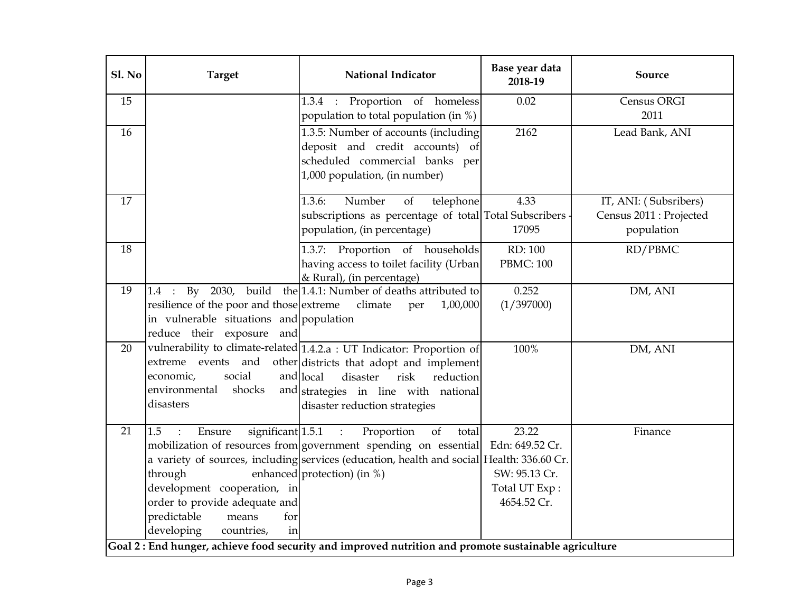| Sl. No | <b>Target</b>                                                                                                                                                                  | <b>National Indicator</b>                                                                                                                                                                                                                                    | Base year data<br>2018-19                                                 | Source                                                         |
|--------|--------------------------------------------------------------------------------------------------------------------------------------------------------------------------------|--------------------------------------------------------------------------------------------------------------------------------------------------------------------------------------------------------------------------------------------------------------|---------------------------------------------------------------------------|----------------------------------------------------------------|
| 15     |                                                                                                                                                                                | 1.3.4 : Proportion of homeless<br>population to total population (in %)                                                                                                                                                                                      | 0.02                                                                      | Census ORGI<br>2011                                            |
| 16     |                                                                                                                                                                                | 1.3.5: Number of accounts (including<br>deposit and credit accounts) of<br>scheduled commercial banks per<br>1,000 population, (in number)                                                                                                                   | 2162                                                                      | Lead Bank, ANI                                                 |
| 17     |                                                                                                                                                                                | Number<br>of<br>telephone<br>1.3.6:<br>subscriptions as percentage of total Total Subscribers<br>population, (in percentage)                                                                                                                                 | 4.33<br>17095                                                             | IT, ANI: (Subsribers)<br>Census 2011 : Projected<br>population |
| 18     |                                                                                                                                                                                | 1.3.7: Proportion of households<br>having access to toilet facility (Urban<br>& Rural), (in percentage)                                                                                                                                                      | RD: 100<br><b>PBMC: 100</b>                                               | RD/PBMC                                                        |
| 19     | By 2030,<br>$1.4$ :<br>resilience of the poor and those extreme<br>in vulnerable situations and population<br>reduce their exposure<br>and                                     | build the 1.4.1: Number of deaths attributed to<br>climate<br>1,00,000<br>per                                                                                                                                                                                | 0.252<br>(1/397000)                                                       | DM, ANI                                                        |
| 20     | social<br>economic,<br>environmental<br>shocks<br>disasters                                                                                                                    | vulnerability to climate-related 1.4.2.a : UT Indicator: Proportion of<br>extreme events and other districts that adopt and implement<br>and local<br>risk<br>disaster<br>reduction<br>and strategies in line with national<br>disaster reduction strategies | 100%                                                                      | DM, ANI                                                        |
| 21     | significant 1.5.1<br>1.5<br>Ensure<br>through<br>development cooperation, in<br>order to provide adequate and<br>predictable<br>means<br>for<br>developing<br>countries,<br>in | Proportion<br>$\cdot$<br>of<br>total<br>mobilization of resources from government spending on essential<br>a variety of sources, including services (education, health and social Health: 336.60 Cr.<br>enhanced protection) (in %)                          | 23.22<br>Edn: 649.52 Cr.<br>SW: 95.13 Cr.<br>Total UT Exp:<br>4654.52 Cr. | Finance                                                        |
|        |                                                                                                                                                                                | Goal 2: End hunger, achieve food security and improved nutrition and promote sustainable agriculture                                                                                                                                                         |                                                                           |                                                                |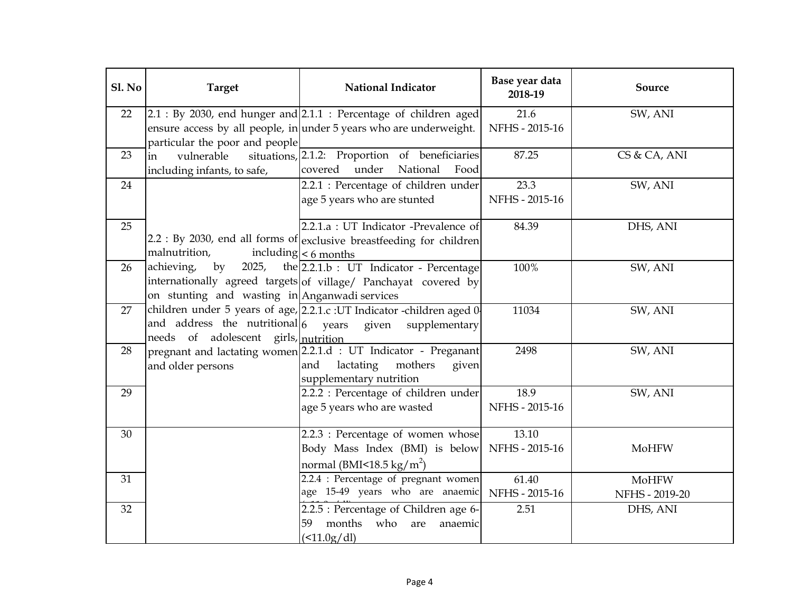| Sl. No | <b>Target</b>                                 | <b>National Indicator</b>                                                                               | Base year data<br>2018-19 | Source         |
|--------|-----------------------------------------------|---------------------------------------------------------------------------------------------------------|---------------------------|----------------|
| 22     |                                               | $2.1:$ By 2030, end hunger and $2.1.1:$ Percentage of children aged                                     | 21.6                      | SW, ANI        |
|        |                                               | ensure access by all people, in under 5 years who are underweight.                                      | NFHS - 2015-16            |                |
|        | particular the poor and people                |                                                                                                         |                           |                |
| 23     | vulnerable<br>in                              | situations, 2.1.2: Proportion of beneficiaries                                                          | 87.25                     | CS & CA, ANI   |
|        | including infants, to safe,                   | covered<br>under<br>National<br>Food                                                                    |                           |                |
| 24     |                                               | 2.2.1 : Percentage of children under                                                                    | 23.3                      | SW, ANI        |
|        |                                               | age 5 years who are stunted                                                                             | NFHS - 2015-16            |                |
| 25     |                                               | $2.2.1.a$ : UT Indicator -Prevalence of                                                                 | 84.39                     | DHS, ANI       |
|        |                                               | 2.2 : By 2030, end all forms of exclusive breastfeeding for children                                    |                           |                |
|        | malnutrition,                                 | including $\leq 6$ months                                                                               |                           |                |
| 26     | achieving,<br>by                              | 2025, the $2.2.1.b$ : UT Indicator - Percentage                                                         | 100%                      | SW, ANI        |
|        |                                               | internationally agreed targets of village/ Panchayat covered by                                         |                           |                |
|        | on stunting and wasting in Anganwadi services |                                                                                                         |                           |                |
| 27     |                                               | children under 5 years of age, 2.2.1.c : UT Indicator -children aged 0                                  | 11034                     | SW, ANI        |
|        | and address the nutritional $6$ years         | given<br>supplementary                                                                                  |                           |                |
| 28     | needs of adolescent girls, nutrition          |                                                                                                         | 2498                      | SW, ANI        |
|        |                                               | pregnant and lactating women 2.2.1.d : UT Indicator - Preganant<br>lactating<br>mothers<br>and<br>given |                           |                |
|        | and older persons                             | supplementary nutrition                                                                                 |                           |                |
| 29     |                                               | 2.2.2 : Percentage of children under                                                                    | 18.9                      | SW, ANI        |
|        |                                               | age 5 years who are wasted                                                                              | NFHS - 2015-16            |                |
|        |                                               |                                                                                                         |                           |                |
| 30     |                                               | 2.2.3 : Percentage of women whose                                                                       | 13.10                     |                |
|        |                                               | Body Mass Index (BMI) is below                                                                          | NFHS - 2015-16            | MoHFW          |
|        |                                               | normal (BMI<18.5 kg/m <sup>2</sup> )                                                                    |                           |                |
| 31     |                                               | 2.2.4 : Percentage of pregnant women                                                                    | 61.40                     | <b>MoHFW</b>   |
|        |                                               | age 15-49 years who are anaemic                                                                         | NFHS - 2015-16            | NFHS - 2019-20 |
| 32     |                                               | 2.2.5 : Percentage of Children age 6-                                                                   | 2.51                      | DHS, ANI       |
|        |                                               | months who<br>59<br>are<br>anaemic                                                                      |                           |                |
|        |                                               | $($ < 11.0g/dl)                                                                                         |                           |                |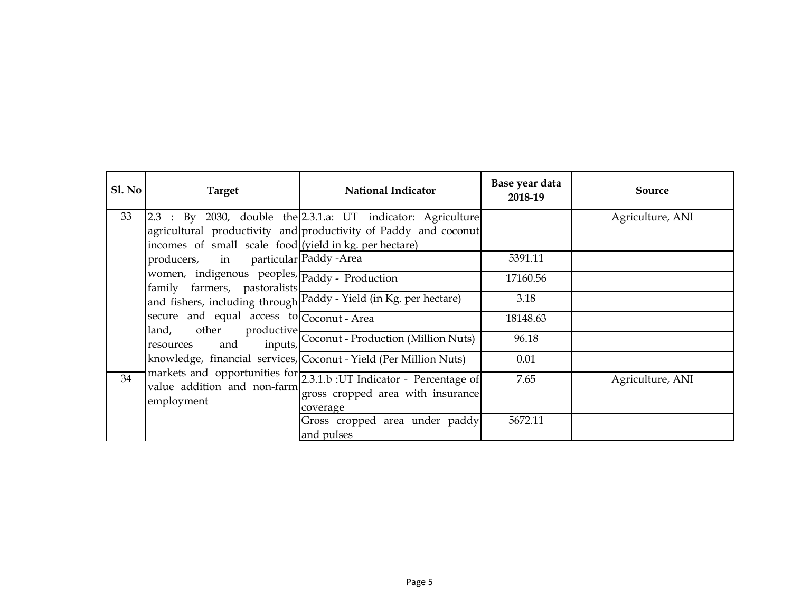| SI. No | <b>Target</b>                                                                                                                                                                                                                       | <b>National Indicator</b>                                                                                                                                                                            | Base year data<br>2018-19               | Source           |
|--------|-------------------------------------------------------------------------------------------------------------------------------------------------------------------------------------------------------------------------------------|------------------------------------------------------------------------------------------------------------------------------------------------------------------------------------------------------|-----------------------------------------|------------------|
| 33     | incomes of small scale food <i>(yield in kg. per hectare)</i><br>producers, in particular Paddy -Area<br>women, indigenous peoples, Paddy - Production<br>family farmers, pastoralists<br>secure and equal access to Coconut - Area | 2.3 : By 2030, double the 2.3.1.a: UT indicator: Agriculture<br>agricultural productivity and productivity of Paddy and coconut<br>and fishers, including through Paddy - Yield (in Kg. per hectare) | 5391.11<br>17160.56<br>3.18<br>18148.63 | Agriculture, ANI |
|        |                                                                                                                                                                                                                                     | land, other productive<br>resources and inputs, Coconut - Production (Million Nuts)<br>knowledge, financial services, Coconut - Yield (Per Million Nuts)                                             | 96.18<br>0.01                           |                  |
| 34     | employment                                                                                                                                                                                                                          | markets and opportunities for 2.3.1.b : UT Indicator - Percentage of value addition and non-farm<br>gross cropped area with insurance<br>coverage                                                    | 7.65                                    | Agriculture, ANI |
|        |                                                                                                                                                                                                                                     | Gross cropped area under paddy<br>and pulses                                                                                                                                                         | 5672.11                                 |                  |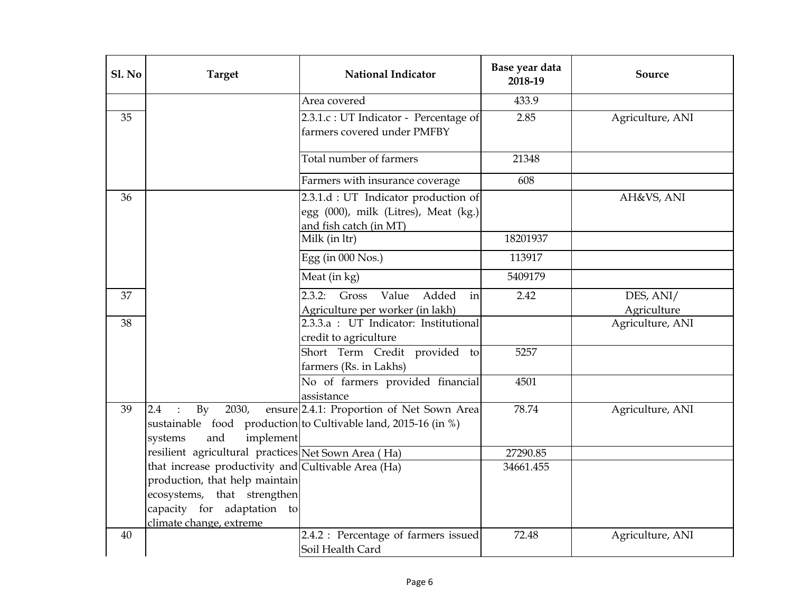| Sl. No | <b>Target</b>                                                                                                                                                                 | <b>National Indicator</b>                                                                                   | Base year data<br>2018-19 | Source                   |
|--------|-------------------------------------------------------------------------------------------------------------------------------------------------------------------------------|-------------------------------------------------------------------------------------------------------------|---------------------------|--------------------------|
|        |                                                                                                                                                                               | Area covered                                                                                                | 433.9                     |                          |
| 35     |                                                                                                                                                                               | 2.3.1.c : UT Indicator - Percentage of<br>farmers covered under PMFBY                                       | 2.85                      | Agriculture, ANI         |
|        |                                                                                                                                                                               | Total number of farmers                                                                                     | 21348                     |                          |
|        |                                                                                                                                                                               | Farmers with insurance coverage                                                                             | 608                       |                          |
| 36     |                                                                                                                                                                               | 2.3.1.d : UT Indicator production of<br>egg (000), milk (Litres), Meat (kg.)<br>and fish catch (in MT)      |                           | AH&VS, ANI               |
|        |                                                                                                                                                                               | Milk (in ltr)                                                                                               | 18201937                  |                          |
|        |                                                                                                                                                                               | Egg (in 000 Nos.)                                                                                           | 113917                    |                          |
|        |                                                                                                                                                                               | Meat (in kg)                                                                                                | 5409179                   |                          |
| 37     |                                                                                                                                                                               | Value<br>Added<br>2.3.2:<br>Gross<br>in<br>Agriculture per worker (in lakh)                                 | 2.42                      | DES, ANI/<br>Agriculture |
| 38     |                                                                                                                                                                               | 2.3.3.a : UT Indicator: Institutional<br>credit to agriculture                                              |                           | Agriculture, ANI         |
|        |                                                                                                                                                                               | Short Term Credit provided to<br>farmers (Rs. in Lakhs)                                                     | 5257                      |                          |
|        |                                                                                                                                                                               | No of farmers provided financial<br>assistance                                                              | 4501                      |                          |
| 39     | $\rm{By}$<br>2030,<br>2.4<br>implement<br>and<br>systems                                                                                                                      | ensure 2.4.1: Proportion of Net Sown Area<br>sustainable food production to Cultivable land, 2015-16 (in %) | 78.74                     | Agriculture, ANI         |
|        | resilient agricultural practices Net Sown Area (Ha)                                                                                                                           |                                                                                                             | 27290.85                  |                          |
|        | that increase productivity and Cultivable Area (Ha)<br>production, that help maintain<br>ecosystems, that strengthen<br>capacity for adaptation to<br>climate change, extreme |                                                                                                             | 34661.455                 |                          |
| 40     |                                                                                                                                                                               | 2.4.2 : Percentage of farmers issued<br>Soil Health Card                                                    | 72.48                     | Agriculture, ANI         |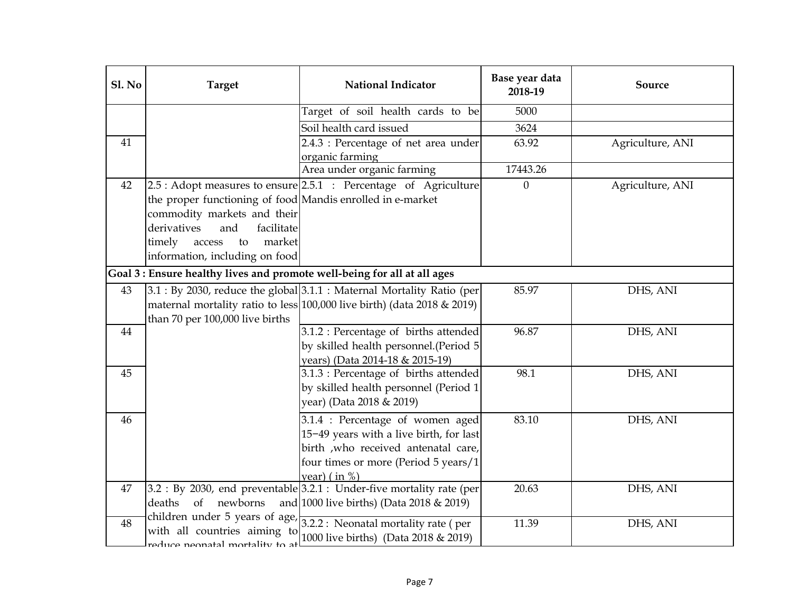| Sl. No | <b>Target</b>                                                   | <b>National Indicator</b>                                                | Base year data<br>2018-19 | Source           |
|--------|-----------------------------------------------------------------|--------------------------------------------------------------------------|---------------------------|------------------|
|        |                                                                 | Target of soil health cards to be                                        | 5000                      |                  |
|        |                                                                 | Soil health card issued                                                  | 3624                      |                  |
| 41     |                                                                 | 2.4.3 : Percentage of net area under                                     | 63.92                     | Agriculture, ANI |
|        |                                                                 | organic farming                                                          |                           |                  |
|        |                                                                 | Area under organic farming                                               | 17443.26                  |                  |
| 42     |                                                                 | $2.5:$ Adopt measures to ensure $2.5.1:$ Percentage of Agriculture       | $\boldsymbol{0}$          | Agriculture, ANI |
|        | the proper functioning of food Mandis enrolled in e-market      |                                                                          |                           |                  |
|        | commodity markets and their                                     |                                                                          |                           |                  |
|        | derivatives<br>and<br>facilitate                                |                                                                          |                           |                  |
|        | market<br>timely<br>access<br>to                                |                                                                          |                           |                  |
|        | information, including on food                                  |                                                                          |                           |                  |
|        |                                                                 | Goal 3 : Ensure healthy lives and promote well-being for all at all ages |                           |                  |
| 43     |                                                                 | 3.1 : By 2030, reduce the global 3.1.1 : Maternal Mortality Ratio (per   | 85.97                     | DHS, ANI         |
|        |                                                                 | maternal mortality ratio to less 100,000 live birth) (data 2018 & 2019)  |                           |                  |
|        | than 70 per 100,000 live births                                 |                                                                          |                           |                  |
| 44     |                                                                 | 3.1.2 : Percentage of births attended                                    | 96.87                     | DHS, ANI         |
|        |                                                                 | by skilled health personnel.(Period 5                                    |                           |                  |
|        |                                                                 | years) (Data 2014-18 & 2015-19)                                          |                           |                  |
| 45     |                                                                 | 3.1.3 : Percentage of births attended                                    | 98.1                      | DHS, ANI         |
|        |                                                                 | by skilled health personnel (Period 1                                    |                           |                  |
|        |                                                                 | year) (Data 2018 & 2019)                                                 |                           |                  |
| 46     |                                                                 | 3.1.4 : Percentage of women aged                                         | 83.10                     | DHS, ANI         |
|        |                                                                 | 15-49 years with a live birth, for last                                  |                           |                  |
|        |                                                                 | birth , who received antenatal care,                                     |                           |                  |
|        |                                                                 | four times or more (Period 5 years/1                                     |                           |                  |
|        |                                                                 | year) $(in %)$                                                           |                           |                  |
| 47     | newborns<br>deaths                                              | $3.2:$ By 2030, end preventable $3.2.1:$ Under-five mortality rate (per  | 20.63                     | DHS, ANI         |
|        | of                                                              | and 1000 live births) (Data 2018 & 2019)                                 |                           |                  |
| 48     |                                                                 | children under 5 years of age, $3.2.2$ : Neonatal mortality rate (per    | 11.39                     | DHS, ANI         |
|        | with all countries aiming to<br>te of whiletrom leterner enther | 1000 live births) (Data 2018 & 2019)                                     |                           |                  |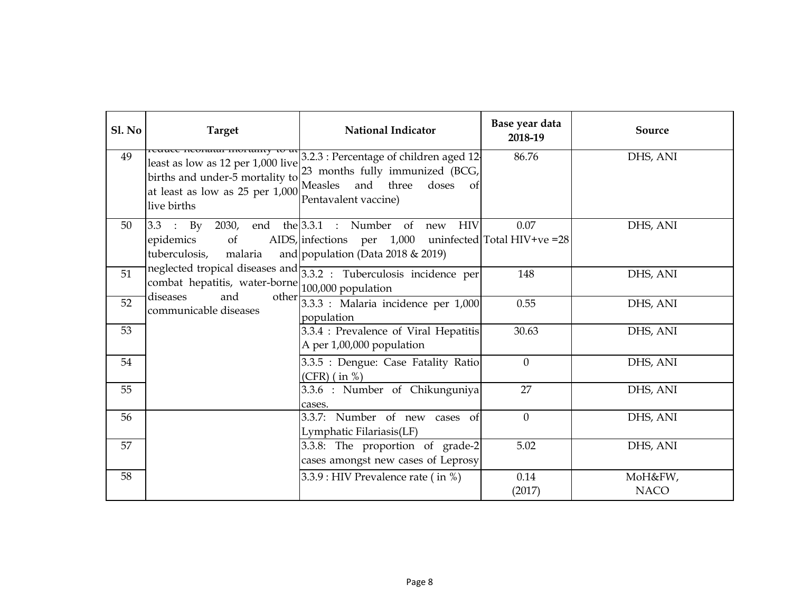| Sl. No | <b>Target</b>                                                                                                          | <b>National Indicator</b>                                                                                                                        | Base year data<br>2018-19 | Source                 |
|--------|------------------------------------------------------------------------------------------------------------------------|--------------------------------------------------------------------------------------------------------------------------------------------------|---------------------------|------------------------|
| 49     | least as low as 12 per 1,000 live<br>births and under-5 mortality to<br>at least as low as 25 per 1,000<br>live births | 3.2.3 : Percentage of children aged 12<br>23 months fully immunized (BCG,<br>Measles and three<br>doses<br><sub>of</sub><br>Pentavalent vaccine) | 86.76                     | DHS, ANI               |
| 50     | $3.3$ : By 2030, end the $3.3.1$ : Number of<br>epidemics<br>of<br>tuberculosis,<br>malaria                            | HIV<br>new<br>AIDS, infections per $1,000$ uninfected Total HIV+ve = 28<br>and population (Data $2018 \& 2019$ )                                 | 0.07                      | DHS, ANI               |
| 51     | combat hepatitis, water-borne $\begin{bmatrix} 100,000 \end{bmatrix}$ population<br>diseases<br>and                    | neglected tropical diseases and $3.3.2$ : Tuberculosis incidence per                                                                             | 148                       | DHS, ANI               |
| 52     | communicable diseases                                                                                                  | other $3.3.3$ : Malaria incidence per 1,000<br>population                                                                                        | 0.55                      | DHS, ANI               |
| 53     |                                                                                                                        | 3.3.4 : Prevalence of Viral Hepatitis<br>A per 1,00,000 population                                                                               | 30.63                     | DHS, ANI               |
| 54     |                                                                                                                        | 3.3.5 : Dengue: Case Fatality Ratio<br>$(CFR)$ (in %)                                                                                            | $\overline{0}$            | DHS, ANI               |
| 55     |                                                                                                                        | 3.3.6 : Number of Chikunguniya<br>cases.                                                                                                         | 27                        | DHS, ANI               |
| 56     |                                                                                                                        | 3.3.7: Number of new cases of<br>Lymphatic Filariasis(LF)                                                                                        | $\overline{0}$            | DHS, ANI               |
| 57     |                                                                                                                        | 3.3.8: The proportion of grade-2<br>cases amongst new cases of Leprosy                                                                           | 5.02                      | DHS, ANI               |
| 58     |                                                                                                                        | 3.3.9 : HIV Prevalence rate (in %)                                                                                                               | 0.14<br>(2017)            | MoH&FW,<br><b>NACO</b> |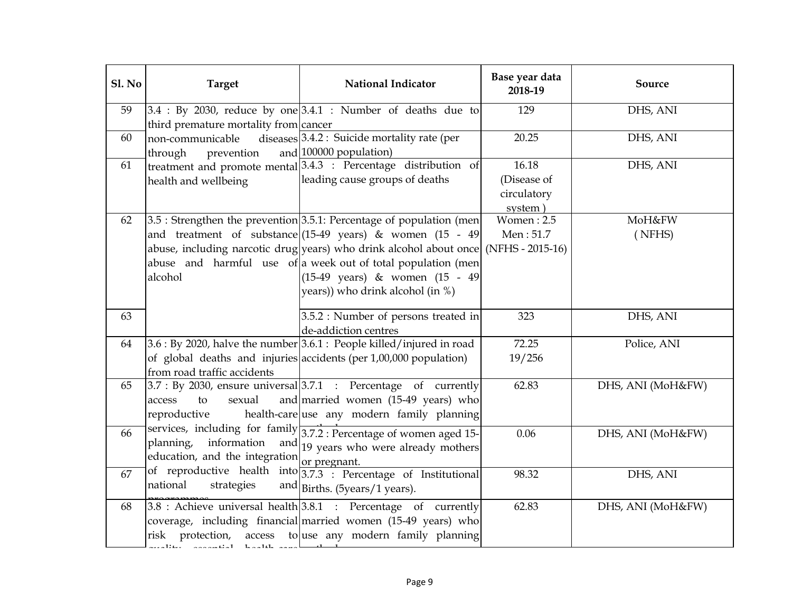| Sl. No | <b>Target</b>                                                                             | <b>National Indicator</b>                                                                                                                                                                                                                                                                                                                                                        | Base year data<br>2018-19                      | Source            |
|--------|-------------------------------------------------------------------------------------------|----------------------------------------------------------------------------------------------------------------------------------------------------------------------------------------------------------------------------------------------------------------------------------------------------------------------------------------------------------------------------------|------------------------------------------------|-------------------|
| 59     | third premature mortality from cancer                                                     | $3.4$ : By 2030, reduce by one $3.4.1$ : Number of deaths due to                                                                                                                                                                                                                                                                                                                 | 129                                            | DHS, ANI          |
| 60     | non-communicable<br>through<br>prevention                                                 | diseases $3.4.2$ : Suicide mortality rate (per<br>and 100000 population)                                                                                                                                                                                                                                                                                                         | 20.25                                          | DHS, ANI          |
| 61     | health and wellbeing                                                                      | treatment and promote mental 3.4.3 : Percentage distribution of<br>leading cause groups of deaths                                                                                                                                                                                                                                                                                | 16.18<br>(Disease of<br>circulatory<br>system) | DHS, ANI          |
| 62     | alcohol                                                                                   | $3.5$ : Strengthen the prevention $3.5.1$ : Percentage of population (men<br>and treatment of substance $(15-49 \text{ years})$ & women $(15 - 49)$<br>abuse, including narcotic drug years) who drink alcohol about once (NFHS - 2015-16)<br>abuse and harmful use of a week out of total population (men<br>(15-49 years) & women (15 - 49<br>years)) who drink alcohol (in %) | Women: 2.5<br>Men: 51.7                        | MoH&FW<br>(NFHS)  |
| 63     |                                                                                           | 3.5.2 : Number of persons treated in<br>de-addiction centres                                                                                                                                                                                                                                                                                                                     | 323                                            | DHS, ANI          |
| 64     | from road traffic accidents                                                               | $3.6:$ By 2020, halve the number $3.6.1:$ People killed/injured in road<br>of global deaths and injuries accidents (per 1,00,000 population)                                                                                                                                                                                                                                     | 72.25<br>19/256                                | Police, ANI       |
| 65     | sexual<br>access<br>to<br>reproductive                                                    | $3.7:$ By 2030, ensure universal $3.7.1:$ Percentage of currently<br>and married women (15-49 years) who<br>health-care use any modern family planning                                                                                                                                                                                                                           | 62.83                                          | DHS, ANI (MoH&FW) |
| 66     | planning, information<br>education, and the integration or pregnant.                      | services, including for family 3.7.2 : Percentage of women aged 15-<br>and $\frac{19}{19}$ years who were already mothers                                                                                                                                                                                                                                                        | 0.06                                           | DHS, ANI (MoH&FW) |
| 67     | national<br>strategies                                                                    | of reproductive health into $3.7.3$ : Percentage of Institutional<br>and Births. (5 $years/1 years$ ).                                                                                                                                                                                                                                                                           | 98.32                                          | DHS, ANI          |
| 68     | risk protection,<br>access<br>$\ddot{\phantom{a}}$<br>$\mathbf{r}$<br>$\mathbf{H}$<br>1.1 | $3.8$ : Achieve universal health $3.8.1$ : Percentage of currently<br>coverage, including financial married women (15-49 years) who<br>to use any modern family planning                                                                                                                                                                                                         | 62.83                                          | DHS, ANI (MoH&FW) |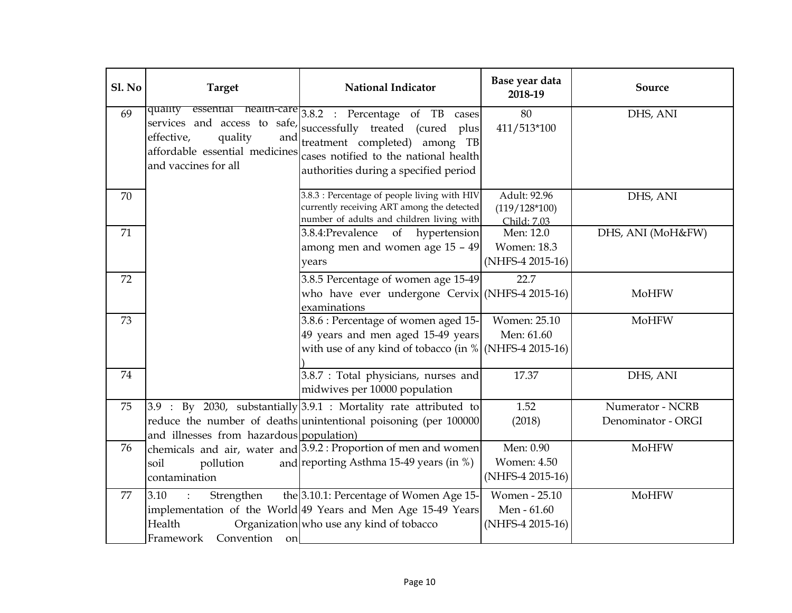| Sl. No | <b>Target</b>                                                                                     | <b>National Indicator</b>                                                                                                                                                                                                                | Base year data<br>2018-19                           | Source                                 |
|--------|---------------------------------------------------------------------------------------------------|------------------------------------------------------------------------------------------------------------------------------------------------------------------------------------------------------------------------------------------|-----------------------------------------------------|----------------------------------------|
| 69     | quality<br>effective,<br>quality<br>and<br>affordable essential medicines<br>and vaccines for all | essential health-care 3.8.2 : Percentage of TB cases<br>services and access to safe, successfully treated (cured plus<br>treatment completed) among TB<br>cases notified to the national health<br>authorities during a specified period | 80<br>411/513*100                                   | DHS, ANI                               |
| 70     |                                                                                                   | 3.8.3 : Percentage of people living with HIV<br>currently receiving ART among the detected<br>number of adults and children living with                                                                                                  | Adult: 92.96<br>$(119/128*100)$<br>Child: 7.03      | DHS, ANI                               |
| 71     |                                                                                                   | 3.8.4: Prevalence<br>of<br>hypertension<br>among men and women age 15 - 49<br>years                                                                                                                                                      | Men: 12.0<br><b>Women: 18.3</b><br>(NHFS-4 2015-16) | DHS, ANI (MoH&FW)                      |
| 72     |                                                                                                   | 3.8.5 Percentage of women age 15-49<br>who have ever undergone Cervix (NHFS-4 2015-16)<br>examinations                                                                                                                                   | 22.7                                                | MoHFW                                  |
| 73     |                                                                                                   | 3.8.6 : Percentage of women aged 15-<br>49 years and men aged 15-49 years<br>with use of any kind of tobacco (in $\%$ (NHFS-4 2015-16)                                                                                                   | Women: 25.10<br>Men: 61.60                          | MoHFW                                  |
| 74     |                                                                                                   | 3.8.7 : Total physicians, nurses and<br>midwives per 10000 population                                                                                                                                                                    | 17.37                                               | DHS, ANI                               |
| 75     | and illnesses from hazardous population)                                                          | $3.9$ : By 2030, substantially $3.9.1$ : Mortality rate attributed to<br>reduce the number of deaths unintentional poisoning (per 100000                                                                                                 | 1.52<br>(2018)                                      | Numerator - NCRB<br>Denominator - ORGI |
| 76     | pollution<br>soil<br>contamination                                                                | chemicals and air, water and 3.9.2 : Proportion of men and women<br>and reporting Asthma 15-49 years (in %)                                                                                                                              | Men: 0.90<br><b>Women: 4.50</b><br>(NHFS-4 2015-16) | MoHFW                                  |
| 77     | Strengthen<br>3.10<br>Health<br>Convention<br>Framework<br>on                                     | the 3.10.1: Percentage of Women Age 15-<br>implementation of the World 49 Years and Men Age 15-49 Years<br>Organization who use any kind of tobacco                                                                                      | Women - 25.10<br>Men - 61.60<br>(NHFS-4 2015-16)    | MoHFW                                  |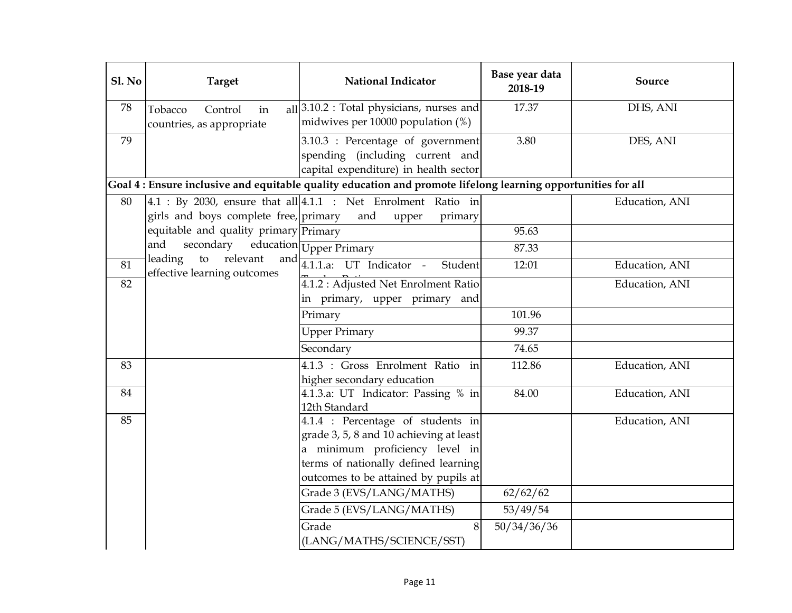| Sl. No | <b>Target</b>                                            | <b>National Indicator</b>                                                                                                                                                                      | Base year data<br>2018-19 | Source         |
|--------|----------------------------------------------------------|------------------------------------------------------------------------------------------------------------------------------------------------------------------------------------------------|---------------------------|----------------|
| 78     | Tobacco<br>Control<br>in<br>countries, as appropriate    | $all$ 3.10.2 : Total physicians, nurses and<br>midwives per 10000 population (%)                                                                                                               | 17.37                     | DHS, ANI       |
| 79     |                                                          | 3.10.3 : Percentage of government<br>spending (including current and<br>capital expenditure) in health sector                                                                                  | 3.80                      | DES, ANI       |
|        |                                                          | Goal 4 : Ensure inclusive and equitable quality education and promote lifelong learning opportunities for all                                                                                  |                           |                |
| 80     | girls and boys complete free, primary                    | $4.1 : By 2030$ , ensure that all $4.1.1 : Net Enrolment$ Ratio in<br>and<br>upper<br>primary                                                                                                  |                           | Education, ANI |
|        | equitable and quality primary Primary                    |                                                                                                                                                                                                | 95.63                     |                |
|        | secondary education Upper Primary<br>and                 |                                                                                                                                                                                                | 87.33                     |                |
| 81     | relevant<br>leading<br>to<br>effective learning outcomes | and $4.1.1.a$ : UT Indicator -<br>Student                                                                                                                                                      | 12:01                     | Education, ANI |
| 82     |                                                          | 4.1.2 : Adjusted Net Enrolment Ratio<br>in primary, upper primary and                                                                                                                          |                           | Education, ANI |
|        |                                                          | Primary                                                                                                                                                                                        | 101.96                    |                |
|        |                                                          | <b>Upper Primary</b>                                                                                                                                                                           | 99.37                     |                |
|        |                                                          | Secondary                                                                                                                                                                                      | 74.65                     |                |
| 83     |                                                          | 4.1.3 : Gross Enrolment Ratio in<br>higher secondary education                                                                                                                                 | 112.86                    | Education, ANI |
| 84     |                                                          | 4.1.3.a: UT Indicator: Passing % in<br>12th Standard                                                                                                                                           | 84.00                     | Education, ANI |
| 85     |                                                          | 4.1.4 : Percentage of students in<br>grade 3, 5, 8 and 10 achieving at least<br>a minimum proficiency level in<br>terms of nationally defined learning<br>outcomes to be attained by pupils at |                           | Education, ANI |
|        |                                                          | Grade 3 (EVS/LANG/MATHS)                                                                                                                                                                       | 62/62/62                  |                |
|        |                                                          | Grade 5 (EVS/LANG/MATHS)                                                                                                                                                                       | 53/49/54                  |                |
|        |                                                          | Grade<br>8<br>(LANG/MATHS/SCIENCE/SST)                                                                                                                                                         | $\frac{1}{50}/34/36/36$   |                |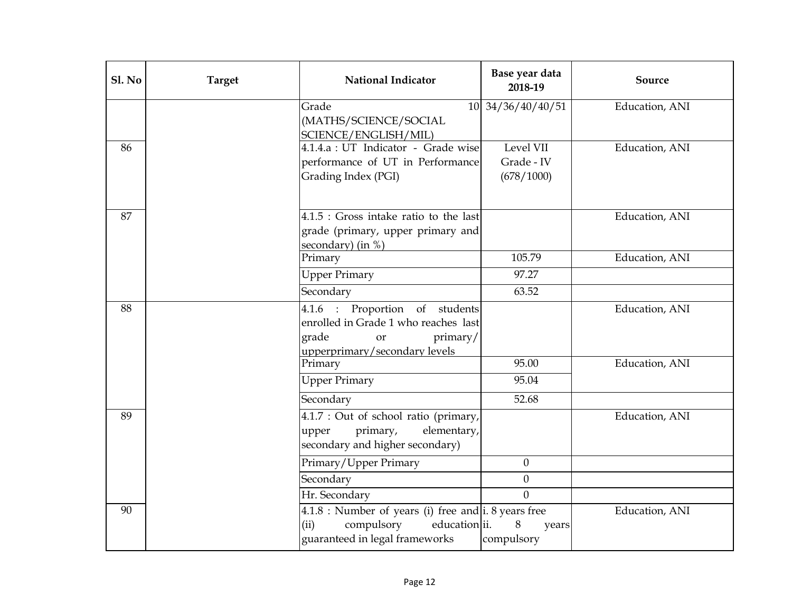| Sl. No | <b>Target</b> | <b>National Indicator</b>                                                                                                          | Base year data<br>2018-19             | Source         |
|--------|---------------|------------------------------------------------------------------------------------------------------------------------------------|---------------------------------------|----------------|
|        |               | Grade<br>(MATHS/SCIENCE/SOCIAL<br>SCIENCE/ENGLISH/MIL)                                                                             | 10 34/36/40/40/51                     | Education, ANI |
| 86     |               | 4.1.4.a : UT Indicator - Grade wise<br>performance of UT in Performance<br>Grading Index (PGI)                                     | Level VII<br>Grade - IV<br>(678/1000) | Education, ANI |
| 87     |               | $4.1.5$ : Gross intake ratio to the last<br>grade (primary, upper primary and<br>secondary) (in $%$ )                              |                                       | Education, ANI |
|        |               | Primary                                                                                                                            | 105.79                                | Education, ANI |
|        |               | <b>Upper Primary</b>                                                                                                               | 97.27                                 |                |
|        |               | Secondary                                                                                                                          | 63.52                                 |                |
| 88     |               | 4.1.6 : Proportion of students<br>enrolled in Grade 1 who reaches last<br>grade<br>primary/<br>or<br>upperprimary/secondary levels |                                       | Education, ANI |
|        |               | Primary                                                                                                                            | 95.00                                 | Education, ANI |
|        |               | <b>Upper Primary</b>                                                                                                               | 95.04                                 |                |
|        |               | Secondary                                                                                                                          | 52.68                                 |                |
| 89     |               | 4.1.7 : Out of school ratio (primary,<br>elementary,<br>primary,<br>upper<br>secondary and higher secondary)                       |                                       | Education, ANI |
|        |               | Primary/Upper Primary                                                                                                              | $\boldsymbol{0}$                      |                |
|        |               | Secondary                                                                                                                          | $\boldsymbol{0}$                      |                |
|        |               | Hr. Secondary                                                                                                                      | $\theta$                              |                |
| 90     |               | $4.1.8$ : Number of years (i) free and i. 8 years free<br>education ii.<br>(ii)<br>compulsory<br>guaranteed in legal frameworks    | 8<br>years<br>compulsory              | Education, ANI |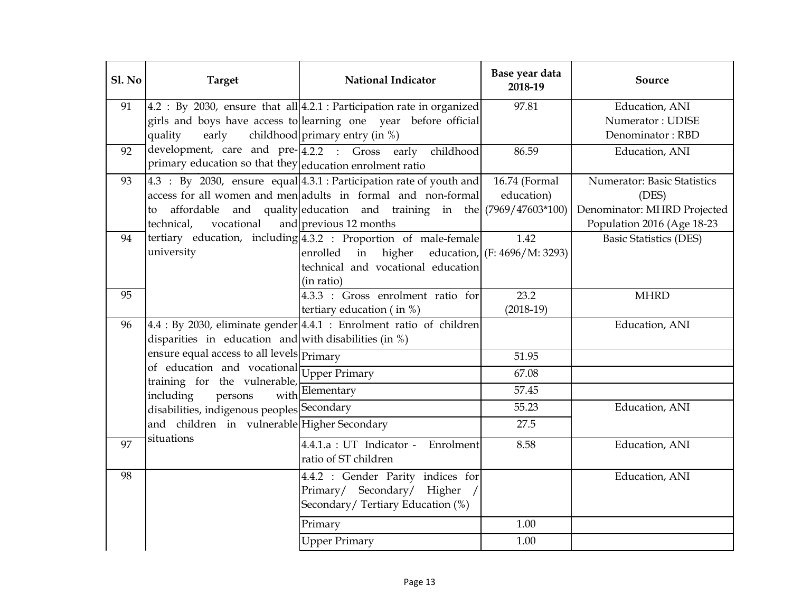| <b>Sl. No</b> | <b>Target</b>                                                                 | <b>National Indicator</b>                                               | Base year data<br>2018-19    | Source                             |
|---------------|-------------------------------------------------------------------------------|-------------------------------------------------------------------------|------------------------------|------------------------------------|
| 91            |                                                                               | 4.2 : By 2030, ensure that all 4.2.1 : Participation rate in organized  | 97.81                        | Education, ANI                     |
|               |                                                                               | girls and boys have access to learning one year before official         |                              | Numerator: UDISE                   |
|               | early<br>quality                                                              | childhood primary entry (in %)                                          |                              | Denominator: RBD                   |
| 92            |                                                                               | development, care and pre-4.2.2 : Gross early childhood                 | 86.59                        | Education, ANI                     |
|               | primary education so that they education enrolment ratio                      |                                                                         |                              |                                    |
| 93            |                                                                               | 4.3 : By 2030, ensure equal 4.3.1 : Participation rate of youth and     | 16.74 (Formal                | <b>Numerator: Basic Statistics</b> |
|               |                                                                               | access for all women and men adults in formal and non-formal            | education)                   | (DES)                              |
|               | to                                                                            | affordable and quality education and training in the $(7969/47603*100)$ |                              | Denominator: MHRD Projected        |
|               | technical,                                                                    | vocational and previous 12 months                                       |                              | Population 2016 (Age 18-23         |
| 94            |                                                                               | tertiary education, including 4.3.2 : Proportion of male-female         | 1.42                         | <b>Basic Statistics (DES)</b>      |
|               | university                                                                    | enrolled in higher                                                      | education, (F: 4696/M: 3293) |                                    |
|               |                                                                               | technical and vocational education                                      |                              |                                    |
|               |                                                                               | (in ratio)                                                              |                              |                                    |
| 95            |                                                                               | 4.3.3 : Gross enrolment ratio for                                       | 23.2                         | <b>MHRD</b>                        |
|               |                                                                               | tertiary education (in $%$ )                                            | $(2018-19)$                  |                                    |
| 96            |                                                                               | 4.4 : By 2030, eliminate gender 4.4.1 : Enrolment ratio of children     |                              | Education, ANI                     |
|               | disparities in education and with disabilities (in %)                         |                                                                         |                              |                                    |
|               | ensure equal access to all levels <b>Primary</b>                              |                                                                         | 51.95                        |                                    |
|               | $\log$ education and vocational Upper Primary<br>training for the vulnerable, |                                                                         | 67.08                        |                                    |
|               | including<br>persons<br>with                                                  | Elementary                                                              | 57.45                        |                                    |
|               | disabilities, indigenous peoples Secondary                                    |                                                                         | 55.23                        | Education, ANI                     |
|               | and children in vulnerable Higher Secondary                                   |                                                                         | 27.5                         |                                    |
| 97            | situations                                                                    | 4.4.1.a : UT Indicator - Enrolment                                      | 8.58                         | Education, ANI                     |
|               |                                                                               | ratio of ST children                                                    |                              |                                    |
| 98            |                                                                               | 4.4.2 : Gender Parity indices for                                       |                              | Education, ANI                     |
|               |                                                                               | Primary/ Secondary/ Higher                                              |                              |                                    |
|               |                                                                               | Secondary/ Tertiary Education (%)                                       |                              |                                    |
|               |                                                                               | Primary                                                                 | 1.00                         |                                    |
|               |                                                                               | <b>Upper Primary</b>                                                    | 1.00                         |                                    |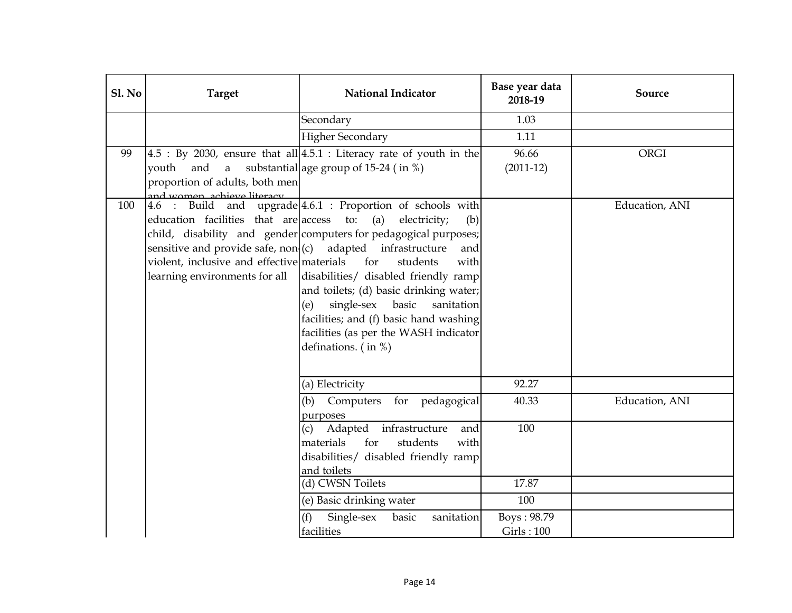| Sl. No | <b>Target</b>                                                                                                                                                                                     | <b>National Indicator</b>                                                                                                                                                                                                                                                                                                                                                                                                      | Base year data<br>2018-19 | Source         |
|--------|---------------------------------------------------------------------------------------------------------------------------------------------------------------------------------------------------|--------------------------------------------------------------------------------------------------------------------------------------------------------------------------------------------------------------------------------------------------------------------------------------------------------------------------------------------------------------------------------------------------------------------------------|---------------------------|----------------|
|        |                                                                                                                                                                                                   | Secondary                                                                                                                                                                                                                                                                                                                                                                                                                      | 1.03                      |                |
|        |                                                                                                                                                                                                   | <b>Higher Secondary</b>                                                                                                                                                                                                                                                                                                                                                                                                        | 1.11                      |                |
| 99     | vouth<br>proportion of adults, both men<br>and women, achieve literacy                                                                                                                            | $4.5$ : By 2030, ensure that all $4.5.1$ : Literacy rate of youth in the<br>and a substantial age group of 15-24 (in %)                                                                                                                                                                                                                                                                                                        | 96.66<br>$(2011-12)$      | <b>ORGI</b>    |
| 100    | 4.6 : Build<br>education facilities that are access<br>sensitive and provide safe, $non(c)$ adapted infrastructure<br>violent, inclusive and effective materials<br>learning environments for all | and upgrade 4.6.1 : Proportion of schools with<br>to:<br>(a)<br>electricity;<br>(b)<br>child, disability and gender computers for pedagogical purposes;<br>and<br>for<br>students<br>with<br>disabilities/ disabled friendly ramp<br>and toilets; (d) basic drinking water;<br>single-sex basic<br>sanitation<br>(e)<br>facilities; and (f) basic hand washing<br>facilities (as per the WASH indicator<br>definations. (in %) |                           | Education, ANI |
|        |                                                                                                                                                                                                   | (a) Electricity                                                                                                                                                                                                                                                                                                                                                                                                                | 92.27                     |                |
|        |                                                                                                                                                                                                   | (b)<br>Computers for pedagogical<br>purposes                                                                                                                                                                                                                                                                                                                                                                                   | 40.33                     | Education, ANI |
|        |                                                                                                                                                                                                   | Adapted infrastructure<br>(c)<br>and<br>materials<br>for<br>students<br>with<br>disabilities/ disabled friendly ramp<br>and toilets                                                                                                                                                                                                                                                                                            | 100                       |                |
|        |                                                                                                                                                                                                   | (d) CWSN Toilets                                                                                                                                                                                                                                                                                                                                                                                                               | 17.87                     |                |
|        |                                                                                                                                                                                                   | (e) Basic drinking water                                                                                                                                                                                                                                                                                                                                                                                                       | 100                       |                |
|        |                                                                                                                                                                                                   | Single-sex<br>basic<br>(f)<br>sanitation<br>facilities                                                                                                                                                                                                                                                                                                                                                                         | Boys: 98.79<br>Girls: 100 |                |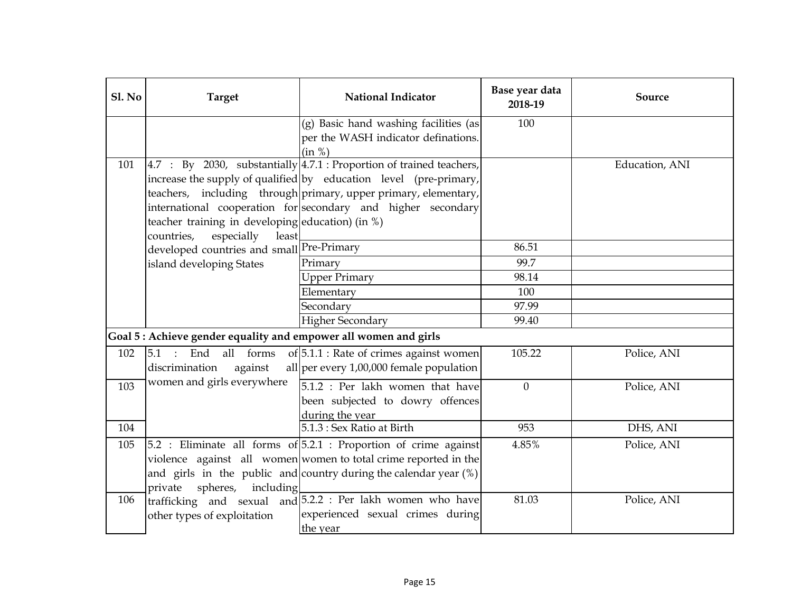| Sl. No | <b>Target</b>                                                    | <b>National Indicator</b>                                              | Base year data<br>2018-19 | Source         |
|--------|------------------------------------------------------------------|------------------------------------------------------------------------|---------------------------|----------------|
|        |                                                                  | (g) Basic hand washing facilities (as                                  | 100                       |                |
|        |                                                                  | per the WASH indicator definations.                                    |                           |                |
|        |                                                                  | (in %)                                                                 |                           |                |
| 101    |                                                                  | $4.7 : By 2030, substantially 4.7.1 : Proportion of trained teachers,$ |                           | Education, ANI |
|        |                                                                  | increase the supply of qualified by education level (pre-primary,      |                           |                |
|        |                                                                  | teachers, including through primary, upper primary, elementary,        |                           |                |
|        |                                                                  | international cooperation for secondary and higher secondary           |                           |                |
|        | teacher training in developing education) (in %)                 |                                                                        |                           |                |
|        | countries,<br>especially<br>least                                |                                                                        |                           |                |
|        | developed countries and small Pre-Primary                        |                                                                        | 86.51                     |                |
|        | island developing States                                         | Primary                                                                | 99.7                      |                |
|        |                                                                  | <b>Upper Primary</b>                                                   | 98.14                     |                |
|        |                                                                  | Elementary                                                             | 100                       |                |
|        |                                                                  | Secondary                                                              | 97.99                     |                |
|        |                                                                  | <b>Higher Secondary</b>                                                | 99.40                     |                |
|        | Goal 5 : Achieve gender equality and empower all women and girls |                                                                        |                           |                |
| 102    | 5.1<br>: End<br>all forms                                        | of 5.1.1 : Rate of crimes against women                                | 105.22                    | Police, ANI    |
|        | discrimination<br>against                                        | all per every $1,00,000$ female population                             |                           |                |
| 103    | women and girls everywhere                                       | 5.1.2 : Per lakh women that have                                       | $\mathbf{0}$              | Police, ANI    |
|        |                                                                  | been subjected to dowry offences                                       |                           |                |
|        |                                                                  | during the year                                                        |                           |                |
| 104    |                                                                  | 5.1.3 : Sex Ratio at Birth                                             | 953                       | DHS, ANI       |
| 105    |                                                                  | $5.2$ : Eliminate all forms of $5.2.1$ : Proportion of crime against   | 4.85%                     | Police, ANI    |
|        |                                                                  | violence against all women women to total crime reported in the        |                           |                |
|        |                                                                  | and girls in the public and country during the calendar year $(\%)$    |                           |                |
|        | private spheres, including                                       |                                                                        |                           |                |
| 106    |                                                                  | trafficking and sexual and 5.2.2 : Per lakh women who have             | 81.03                     | Police, ANI    |
|        | other types of exploitation                                      | experienced sexual crimes during                                       |                           |                |
|        |                                                                  | the year                                                               |                           |                |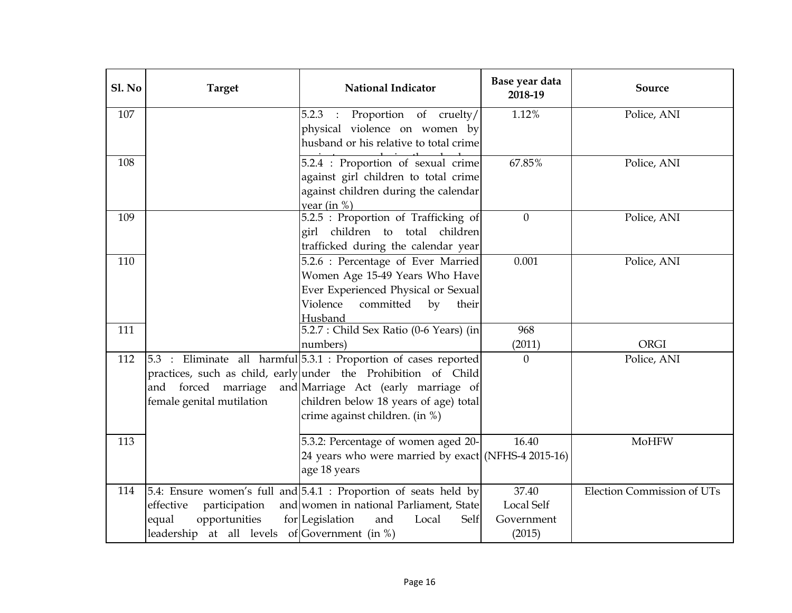| Sl. No | <b>Target</b>                                                                                         | <b>National Indicator</b>                                                                                                                                                                                                                            | Base year data<br>2018-19                          | Source                            |
|--------|-------------------------------------------------------------------------------------------------------|------------------------------------------------------------------------------------------------------------------------------------------------------------------------------------------------------------------------------------------------------|----------------------------------------------------|-----------------------------------|
| 107    |                                                                                                       | 5.2.3 : Proportion of cruelty/<br>physical violence on women by<br>husband or his relative to total crime                                                                                                                                            | 1.12%                                              | Police, ANI                       |
| 108    |                                                                                                       | 5.2.4 : Proportion of sexual crime<br>against girl children to total crime<br>against children during the calendar<br>year (in $%$ )                                                                                                                 | 67.85%                                             | Police, ANI                       |
| 109    |                                                                                                       | 5.2.5 : Proportion of Trafficking of<br>girl children to total children<br>trafficked during the calendar year                                                                                                                                       | $\overline{0}$                                     | Police, ANI                       |
| 110    |                                                                                                       | 5.2.6 : Percentage of Ever Married<br>Women Age 15-49 Years Who Have<br>Ever Experienced Physical or Sexual<br>Violence<br>committed<br>by<br>their<br>Husband                                                                                       | 0.001                                              | Police, ANI                       |
| 111    |                                                                                                       | 5.2.7 : Child Sex Ratio (0-6 Years) (in<br>numbers)                                                                                                                                                                                                  | 968<br>(2011)                                      | <b>ORGI</b>                       |
| 112    | and forced marriage<br>female genital mutilation                                                      | 5.3 : Eliminate all harmful 5.3.1 : Proportion of cases reported<br>practices, such as child, early under the Prohibition of Child<br>and Marriage Act (early marriage of<br>children below 18 years of age) total<br>crime against children. (in %) | $\overline{0}$                                     | Police, ANI                       |
| 113    |                                                                                                       | 5.3.2: Percentage of women aged 20-<br>24 years who were married by exact (NFHS-4 2015-16)<br>age 18 years                                                                                                                                           | 16.40                                              | MoHFW                             |
| 114    | effective<br>participation<br>opportunities<br>equal<br>leadership at all levels of Government (in %) | 5.4: Ensure women's full and 5.4.1 : Proportion of seats held by<br>and women in national Parliament, State<br>for Legislation<br>and<br>Local<br>Self                                                                                               | 37.40<br><b>Local Self</b><br>Government<br>(2015) | <b>Election Commission of UTs</b> |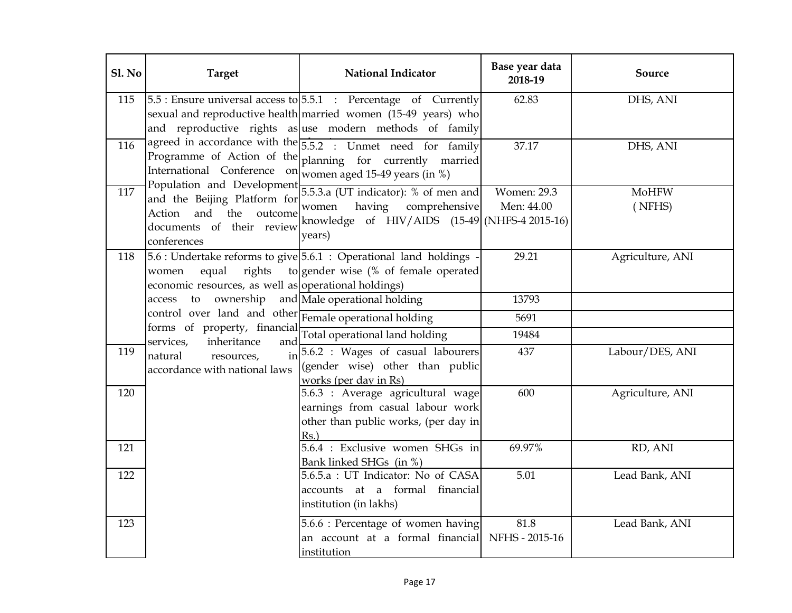| Sl. No | <b>Target</b>                                                                                         | <b>National Indicator</b>                                                                                                                                                                            | Base year data<br>2018-19        | Source           |
|--------|-------------------------------------------------------------------------------------------------------|------------------------------------------------------------------------------------------------------------------------------------------------------------------------------------------------------|----------------------------------|------------------|
| 115    |                                                                                                       | $5.5$ : Ensure universal access to $5.5.1$ : Percentage of Currently<br>sexual and reproductive health married women (15-49 years) who<br>and reproductive rights as use modern methods of family    | 62.83                            | DHS, ANI         |
| 116    |                                                                                                       | agreed in accordance with the $\overline{5.5.2}$ : Unmet need for family<br>Programme of Action of the planning for currently married<br>International Conference $on$ women aged 15-49 years (in %) | 37.17                            | DHS, ANI         |
| 117    | and the Beijing Platform for<br>Action and<br>the outcome<br>documents of their review<br>conferences | Population and Development $5.5.3.a$ (UT indicator): % of men and<br>comprehensive<br>having<br>women<br>knowledge of $HIV/AIDS$ (15-49 (NHFS-4 2015-16)<br>years)                                   | <b>Women: 29.3</b><br>Men: 44.00 | MoHFW<br>(NFHS)  |
| 118    | rights<br>equal<br>women<br>economic resources, as well as operational holdings)                      | 5.6 : Undertake reforms to give 5.6.1 : Operational land holdings<br>to gender wise (% of female operated                                                                                            | 29.21                            | Agriculture, ANI |
|        | ownership<br>to<br>access                                                                             | and Male operational holding                                                                                                                                                                         | 13793                            |                  |
|        | control over land and other Female operational holding                                                |                                                                                                                                                                                                      | 5691                             |                  |
|        | forms of property, financial Total operational land holding                                           |                                                                                                                                                                                                      | 19484                            |                  |
| 119    | $\mathbf{i}$<br>natural<br>resources,<br>accordance with national laws                                | 5.6.2 : Wages of casual labourers<br>(gender wise) other than public<br>works (per day in Rs)                                                                                                        | 437                              | Labour/DES, ANI  |
| 120    |                                                                                                       | 5.6.3 : Average agricultural wage<br>earnings from casual labour work<br>other than public works, (per day in<br>$Rs.$ )                                                                             | 600                              | Agriculture, ANI |
| 121    |                                                                                                       | 5.6.4 : Exclusive women SHGs in<br>Bank linked SHGs (in %)                                                                                                                                           | 69.97%                           | RD, ANI          |
| 122    |                                                                                                       | 5.6.5.a : UT Indicator: No of CASA<br>accounts at a formal financial<br>institution (in lakhs)                                                                                                       | 5.01                             | Lead Bank, ANI   |
| 123    |                                                                                                       | 5.6.6 : Percentage of women having<br>an account at a formal financial NFHS - 2015-16<br>institution                                                                                                 | 81.8                             | Lead Bank, ANI   |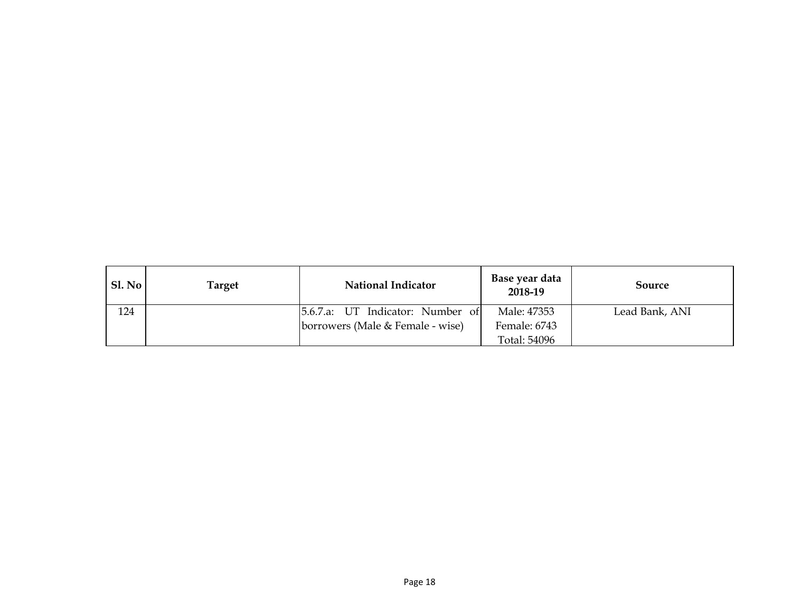| SI. No | Target | <b>National Indicator</b>        | Base year data<br>2018-19 | Source         |
|--------|--------|----------------------------------|---------------------------|----------------|
| 124    |        | 5.6.7.a: UT Indicator: Number of | Male: 47353               | Lead Bank, ANI |
|        |        | borrowers (Male & Female - wise) | Female: 6743              |                |
|        |        |                                  | Total: 54096              |                |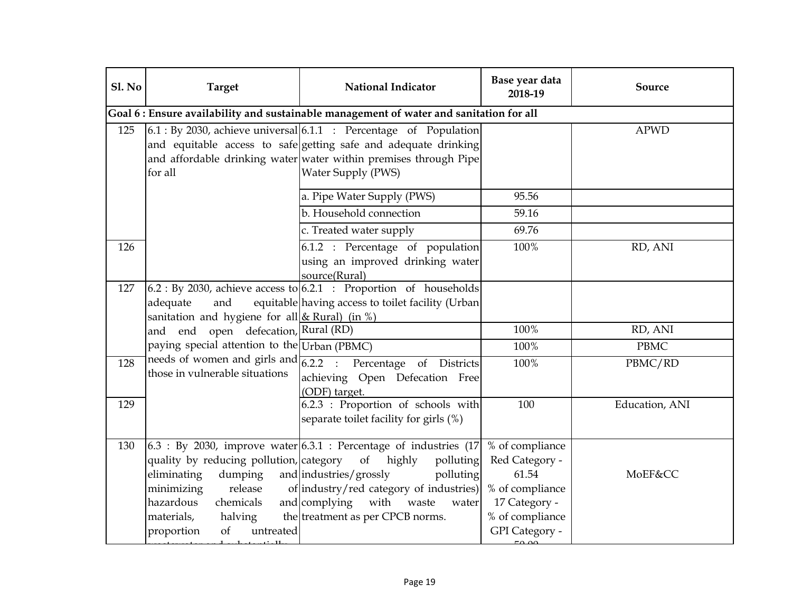| Sl. No | <b>Target</b>                                                                                                                                                                  | <b>National Indicator</b>                                                                                                                                                                                                                                         | Base year data<br>2018-19                                                                                           | Source         |
|--------|--------------------------------------------------------------------------------------------------------------------------------------------------------------------------------|-------------------------------------------------------------------------------------------------------------------------------------------------------------------------------------------------------------------------------------------------------------------|---------------------------------------------------------------------------------------------------------------------|----------------|
|        |                                                                                                                                                                                | Goal 6 : Ensure availability and sustainable management of water and sanitation for all                                                                                                                                                                           |                                                                                                                     |                |
| 125    | for all                                                                                                                                                                        | $6.1:$ By 2030, achieve universal $6.1.1:$ Percentage of Population<br>and equitable access to safe getting safe and adequate drinking<br>and affordable drinking water water within premises through Pipe<br>Water Supply (PWS)                                  |                                                                                                                     | <b>APWD</b>    |
|        |                                                                                                                                                                                | a. Pipe Water Supply (PWS)                                                                                                                                                                                                                                        | 95.56                                                                                                               |                |
|        |                                                                                                                                                                                | b. Household connection                                                                                                                                                                                                                                           | 59.16                                                                                                               |                |
|        |                                                                                                                                                                                | c. Treated water supply                                                                                                                                                                                                                                           | 69.76                                                                                                               |                |
| 126    |                                                                                                                                                                                | 6.1.2 : Percentage of population<br>using an improved drinking water<br>source(Rural)                                                                                                                                                                             | 100%                                                                                                                | RD, ANI        |
| 127    | adequate<br>and<br>sanitation and hygiene for all $& Rural$ (in %)                                                                                                             | $6.2:$ By 2030, achieve access to $6.2.1:$ Proportion of households<br>equitable having access to toilet facility (Urban                                                                                                                                          |                                                                                                                     |                |
|        | and end open defecation, Rural (RD)                                                                                                                                            |                                                                                                                                                                                                                                                                   | 100%                                                                                                                | RD, ANI        |
|        | paying special attention to the Urban (PBMC)                                                                                                                                   |                                                                                                                                                                                                                                                                   | 100%                                                                                                                | <b>PBMC</b>    |
| 128    | those in vulnerable situations                                                                                                                                                 | needs of women and girls and $\overline{6.2.2}$ : Percentage of Districts<br>achieving Open Defecation Free<br>(ODF) target.                                                                                                                                      | 100%                                                                                                                | PBMC/RD        |
| 129    |                                                                                                                                                                                | 6.2.3 : Proportion of schools with<br>separate toilet facility for girls (%)                                                                                                                                                                                      | 100                                                                                                                 | Education, ANI |
| 130    | quality by reducing pollution, category<br>eliminating<br>dumping<br>release<br>minimizing<br>hazardous<br>chemicals<br>halving<br>materials,<br>of<br>proportion<br>untreated | $6.3$ : By 2030, improve water $6.3.1$ : Percentage of industries (17)<br>of<br>highly<br>polluting<br>and industries/grossly<br>polluting<br>of industry/red category of industries)<br>and complying with<br>waste<br>water<br>the treatment as per CPCB norms. | % of compliance<br>Red Category -<br>61.54<br>% of compliance<br>17 Category -<br>% of compliance<br>GPI Category - | MoEF&CC        |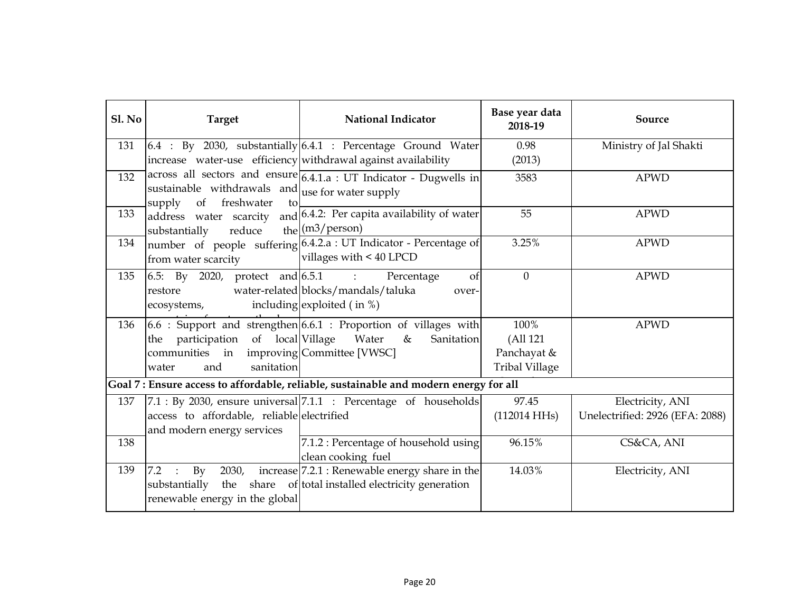| Sl. No | <b>Target</b>                                                                                                 | <b>National Indicator</b>                                                                                           | Base year data<br>2018-19                                | Source                                              |
|--------|---------------------------------------------------------------------------------------------------------------|---------------------------------------------------------------------------------------------------------------------|----------------------------------------------------------|-----------------------------------------------------|
| 131    |                                                                                                               | $6.4$ : By 2030, substantially $6.4.1$ : Percentage Ground Water                                                    | 0.98                                                     | Ministry of Jal Shakti                              |
|        | increase water-use efficiency withdrawal against availability                                                 |                                                                                                                     | (2013)                                                   |                                                     |
| 132    | sustainable withdrawals and $\vert$ use for water supply<br>of freshwater<br>supply<br>to                     | across all sectors and ensure 6.4.1.a : UT Indicator - Dugwells in                                                  | 3583                                                     | <b>APWD</b>                                         |
| 133    | address water scarcity<br>substantially<br>reduce                                                             | and 6.4.2: Per capita availability of water<br>the $(m3/person)$                                                    | 55                                                       | <b>APWD</b>                                         |
| 134    | from water scarcity                                                                                           | number of people suffering 6.4.2.a : UT Indicator - Percentage of<br>villages with < 40 LPCD                        | 3.25%                                                    | <b>APWD</b>                                         |
| 135    | 6.5: By 2020, protect and $6.5.1$ : Percentage<br>restore<br>ecosystems,                                      | of<br>water-related blocks/mandals/taluka<br>over-<br>including exploited $($ in $%)$                               | $\overline{0}$                                           | <b>APWD</b>                                         |
| 136    | the participation of local Village<br>communities in improving Committee [VWSC]<br>sanitation<br>and<br>water | $6.6$ : Support and strengthen $6.6.1$ : Proportion of villages with<br>Water<br>$\&$<br>Sanitation                 | 100%<br>(All 121<br>Panchayat &<br><b>Tribal Village</b> | <b>APWD</b>                                         |
|        |                                                                                                               | Goal 7: Ensure access to affordable, reliable, sustainable and modern energy for all                                |                                                          |                                                     |
| 137    | access to affordable, reliable electrified<br>and modern energy services                                      | $7.1:$ By 2030, ensure universal $7.1.1:$ Percentage of households                                                  | 97.45<br>$(112014 \text{ HHs})$                          | Electricity, ANI<br>Unelectrified: 2926 (EFA: 2088) |
| 138    |                                                                                                               | 7.1.2 : Percentage of household using<br>clean cooking fuel                                                         | 96.15%                                                   | CS&CA, ANI                                          |
| 139    | 2030,<br>7.2<br>$\rm{By}$<br>$\frac{1}{2}$<br>renewable energy in the global                                  | increase 7.2.1 : Renewable energy share in the<br>substantially the share of total installed electricity generation | 14.03%                                                   | Electricity, ANI                                    |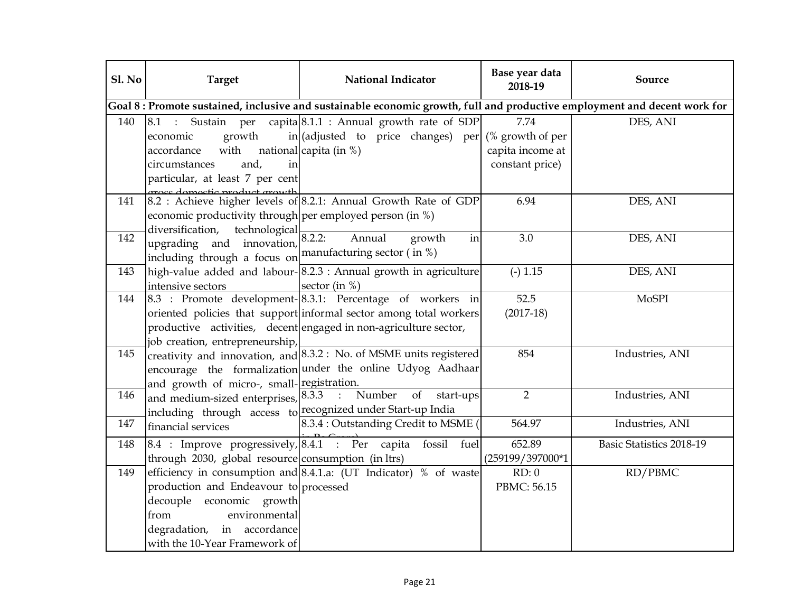| Sl. No | <b>Target</b>                                                   | National Indicator                                                                                                                                         | Base year data<br>2018-19 | Source                   |
|--------|-----------------------------------------------------------------|------------------------------------------------------------------------------------------------------------------------------------------------------------|---------------------------|--------------------------|
|        |                                                                 | Goal 8: Promote sustained, inclusive and sustainable economic growth, full and productive employment and decent work for                                   |                           |                          |
| 140    |                                                                 | $\begin{bmatrix} 8.1 \\ \vdots \\ 8.1 \end{bmatrix}$ Sustain per capita $\begin{bmatrix} 8.1.1 \\ \vdots \\ 8.1.1 \end{bmatrix}$ Annual growth rate of SDP | 7.74                      | DES, ANI                 |
|        | growth<br>economic                                              | in (adjusted to price changes) per (% growth of per                                                                                                        |                           |                          |
|        | with<br>accordance                                              | national capita (in %)                                                                                                                                     | capita income at          |                          |
|        | and,<br>circumstances<br>in                                     |                                                                                                                                                            | constant price)           |                          |
|        | particular, at least 7 per cent                                 |                                                                                                                                                            |                           |                          |
| 141    |                                                                 | Groce domoctic product growth<br>8.2 : Achieve higher levels of 8.2.1: Annual Growth Rate of GDP                                                           | 6.94                      | DES, ANI                 |
|        | economic productivity through per employed person (in $\%$ )    |                                                                                                                                                            |                           |                          |
|        | diversification,<br>technological                               |                                                                                                                                                            |                           |                          |
| 142    | upgrading and innovation,                                       | 8.2.2<br>Annual<br>growth<br>in                                                                                                                            | 3.0                       | DES, ANI                 |
|        | including through a focus on manufacturing sector (in %)        |                                                                                                                                                            |                           |                          |
| 143    |                                                                 | high-value added and labour-8.2.3 : Annual growth in agriculture                                                                                           | $(-) 1.15$                | DES, ANI                 |
|        | intensive sectors                                               | sector (in $%$ )                                                                                                                                           |                           |                          |
| 144    |                                                                 | 8.3 : Promote development-8.3.1: Percentage of workers in                                                                                                  | 52.5                      | <b>MoSPI</b>             |
|        |                                                                 | oriented policies that support informal sector among total workers                                                                                         | $(2017-18)$               |                          |
|        |                                                                 | productive activities, decent engaged in non-agriculture sector,                                                                                           |                           |                          |
|        | job creation, entrepreneurship,                                 |                                                                                                                                                            |                           |                          |
| 145    |                                                                 | creativity and innovation, and 8.3.2 : No. of MSME units registered                                                                                        | 854                       | Industries, ANI          |
|        |                                                                 | encourage the formalization under the online Udyog Aadhaar                                                                                                 |                           |                          |
|        | and growth of micro-, small-registration.                       |                                                                                                                                                            |                           |                          |
| 146    | and medium-sized enterprises, 8.3.3 : Number                    | of<br>start-ups                                                                                                                                            | $\overline{2}$            | Industries, ANI          |
|        |                                                                 | including through access to recognized under Start-up India                                                                                                |                           |                          |
| 147    | financial services                                              | 8.3.4 : Outstanding Credit to MSME (                                                                                                                       | 564.97                    | Industries, ANI          |
| 148    | $\vert 8.4$ : Improve progressively, $\vert 8.4.1$ : Per capita | fossil fuel                                                                                                                                                | 652.89                    | Basic Statistics 2018-19 |
|        | through 2030, global resource consumption (in ltrs)             |                                                                                                                                                            | (259199/397000*1          |                          |
| 149    |                                                                 | efficiency in consumption and $\overline{8.4.1.a}$ : (UT Indicator) % of waste                                                                             | RD: 0                     | RD/PBMC                  |
|        | production and Endeavour to processed                           |                                                                                                                                                            | PBMC: 56.15               |                          |
|        | decouple economic growth                                        |                                                                                                                                                            |                           |                          |
|        | environmental<br>from                                           |                                                                                                                                                            |                           |                          |
|        | degradation, in accordance                                      |                                                                                                                                                            |                           |                          |
|        | with the 10-Year Framework of                                   |                                                                                                                                                            |                           |                          |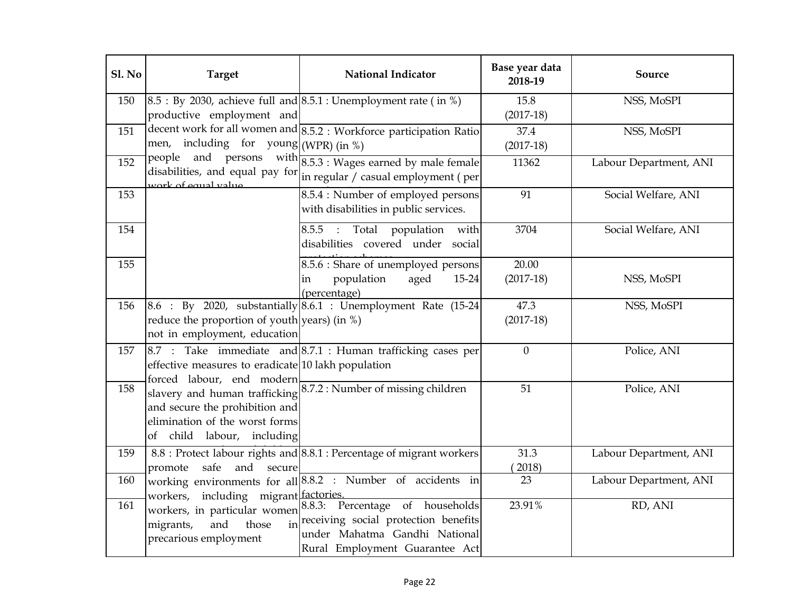| Sl. No | <b>Target</b>                                                                                  | National Indicator                                                                                                                                                         | Base year data<br>2018-19 | Source                 |
|--------|------------------------------------------------------------------------------------------------|----------------------------------------------------------------------------------------------------------------------------------------------------------------------------|---------------------------|------------------------|
| 150    | productive employment and                                                                      | $8.5:$ By 2030, achieve full and $8.5.1:$ Unemployment rate (in %)                                                                                                         | 15.8<br>$(2017-18)$       | NSS, MoSPI             |
| 151    | men, including for young (WPR) (in %)                                                          | decent work for all women and 8.5.2 : Workforce participation Ratio                                                                                                        | 37.4<br>$(2017-18)$       | NSS, MoSPI             |
| 152    | work of equal value                                                                            | people and persons with $8.5.3$ : Wages earned by male female<br>disabilities, and equal pay for $\lim_{n \to \infty} \frac{1}{n}$ regular / casual employment ( per       | 11362                     | Labour Department, ANI |
| 153    |                                                                                                | 8.5.4 : Number of employed persons<br>with disabilities in public services.                                                                                                | 91                        | Social Welfare, ANI    |
| 154    |                                                                                                | 8.5.5 : Total population with<br>disabilities covered under social                                                                                                         | 3704                      | Social Welfare, ANI    |
| 155    |                                                                                                | 8.5.6 : Share of unemployed persons<br>population<br>aged<br>15-24<br>in<br>(percentage)                                                                                   | 20.00<br>$(2017-18)$      | NSS, MoSPI             |
| 156    | reduce the proportion of youth years) (in $\%$ )<br>not in employment, education               | $8.6$ : By 2020, substantially $8.6.1$ : Unemployment Rate (15-24)                                                                                                         | 47.3<br>$(2017-18)$       | NSS, MoSPI             |
| 157    | effective measures to eradicate 10 lakh population<br>forced labour, end modern                | $8.7$ : Take immediate and $8.7.1$ : Human trafficking cases per                                                                                                           | $\boldsymbol{0}$          | Police, ANI            |
| 158    | and secure the prohibition and<br>elimination of the worst forms<br>of child labour, including | slavery and human trafficking 8.7.2 : Number of missing children                                                                                                           | 51                        | Police, ANI            |
| 159    | and secure<br>safe<br>promote                                                                  | 8.8 : Protect labour rights and 8.8.1 : Percentage of migrant workers                                                                                                      | 31.3<br>2018)             | Labour Department, ANI |
| 160    | workers, including migrant factories.                                                          | working environments for all 8.8.2 : Number of accidents in                                                                                                                | 23                        | Labour Department, ANI |
| 161    | and<br>those<br>migrants,<br>precarious employment                                             | workers, in particular women 8.8.3: Percentage of households<br>in receiving social protection benefits<br>under Mahatma Gandhi National<br>Rural Employment Guarantee Act | 23.91%                    | RD, ANI                |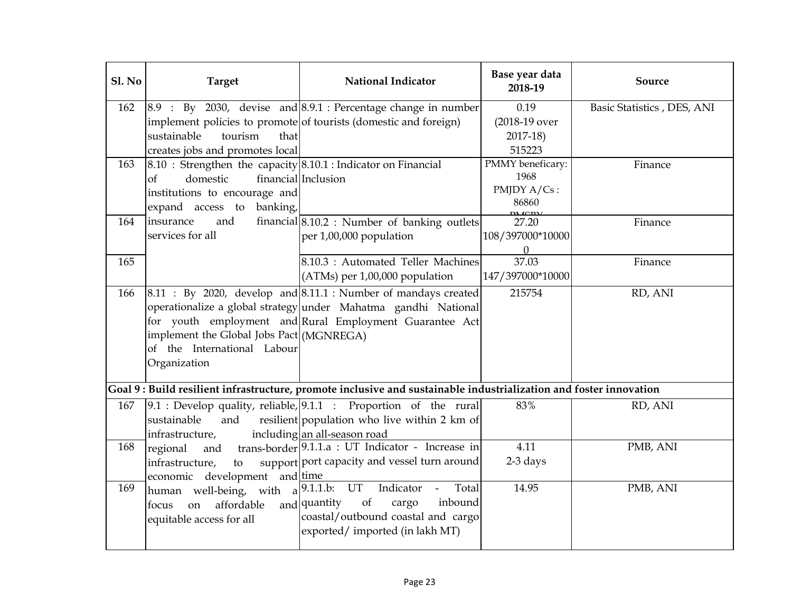| Sl. No | <b>Target</b>                                                  | <b>National Indicator</b>                                                                                                                                       | Base year data<br>2018-19 | Source                     |
|--------|----------------------------------------------------------------|-----------------------------------------------------------------------------------------------------------------------------------------------------------------|---------------------------|----------------------------|
| 162    |                                                                | $\begin{bmatrix} 8.9 \\ \vdots \\ 8.9 \end{bmatrix}$ By 2030, devise and $\begin{bmatrix} 8.9.1 \\ \vdots \\ 8.9.1 \end{bmatrix}$ : Percentage change in number | 0.19                      | Basic Statistics, DES, ANI |
|        |                                                                | implement policies to promote of tourists (domestic and foreign)                                                                                                | (2018-19 over             |                            |
|        | sustainable<br>tourism<br>that                                 |                                                                                                                                                                 | $2017-18$                 |                            |
|        | creates jobs and promotes local                                |                                                                                                                                                                 | 515223                    |                            |
| 163    | 8.10 : Strengthen the capacity 8.10.1 : Indicator on Financial |                                                                                                                                                                 | PMMY beneficary:          | Finance                    |
|        | domestic<br>$\circ$ f                                          | financial Inclusion                                                                                                                                             | 1968                      |                            |
|        | institutions to encourage and                                  |                                                                                                                                                                 | PMJDY A/Cs:               |                            |
|        | expand access to banking,                                      |                                                                                                                                                                 | 86860                     |                            |
| 164    | insurance<br>and                                               | financial $\left  8.10.2 \right $ : Number of banking outlets                                                                                                   | 27.20                     | Finance                    |
|        | services for all                                               | per 1,00,000 population                                                                                                                                         | 108/397000*10000          |                            |
|        |                                                                |                                                                                                                                                                 | $\Omega$                  |                            |
| 165    |                                                                | 8.10.3 : Automated Teller Machines                                                                                                                              | 37.03                     | Finance                    |
|        |                                                                | (ATMs) per 1,00,000 population                                                                                                                                  | 147/397000*10000          |                            |
| 166    |                                                                | $8.11$ : By 2020, develop and $8.11.1$ : Number of mandays created                                                                                              | 215754                    | RD, ANI                    |
|        |                                                                | operationalize a global strategy under Mahatma gandhi National                                                                                                  |                           |                            |
|        |                                                                | for youth employment and Rural Employment Guarantee Act                                                                                                         |                           |                            |
|        | implement the Global Jobs Pact (MGNREGA)                       |                                                                                                                                                                 |                           |                            |
|        | of the International Labour                                    |                                                                                                                                                                 |                           |                            |
|        | Organization                                                   |                                                                                                                                                                 |                           |                            |
|        |                                                                |                                                                                                                                                                 |                           |                            |
|        |                                                                | Goal 9: Build resilient infrastructure, promote inclusive and sustainable industrialization and foster innovation                                               |                           |                            |
| 167    |                                                                | $9.1$ : Develop quality, reliable, $9.1.1$ : Proportion of the rural                                                                                            | 83%                       | RD, ANI                    |
|        | sustainable<br>and                                             | resilient population who live within 2 km of                                                                                                                    |                           |                            |
|        | infrastructure,                                                | including an all-season road                                                                                                                                    |                           |                            |
| 168    | regional<br>and                                                | trans-border <sup>[9.1.1.a : UT Indicator - Increase in</sup>                                                                                                   | 4.11                      | PMB, ANI                   |
|        | infrastructure,<br>to                                          | support port capacity and vessel turn around                                                                                                                    | 2-3 days                  |                            |
|        | economic development                                           | and time                                                                                                                                                        |                           |                            |
| 169    | human well-being, with $a^{9.1.1.\overline{b}}$ . UT           | Total<br>Indicator<br>$\omega_{\rm{eff}}$                                                                                                                       | 14.95                     | PMB, ANI                   |
|        | affordable<br>on<br>focus                                      | and quantity<br>of<br>cargo<br>inbound                                                                                                                          |                           |                            |
|        | equitable access for all                                       | coastal/outbound coastal and cargo                                                                                                                              |                           |                            |
|        |                                                                | exported/imported (in lakh MT)                                                                                                                                  |                           |                            |
|        |                                                                |                                                                                                                                                                 |                           |                            |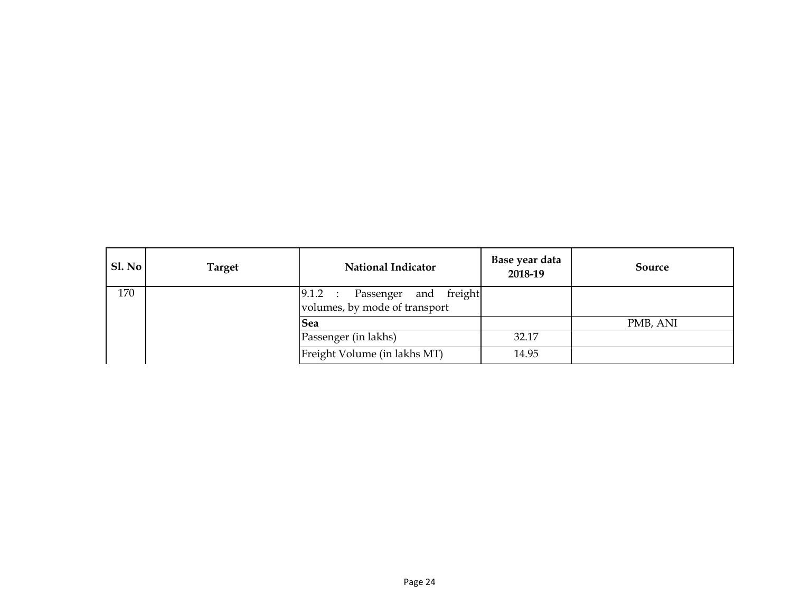| Sl. No | <b>Target</b> | <b>National Indicator</b>                                        | Base year data<br>2018-19 | Source   |
|--------|---------------|------------------------------------------------------------------|---------------------------|----------|
| 170    |               | [9.1.2 : Passenger and freight]<br>volumes, by mode of transport |                           |          |
|        |               | <b>Sea</b>                                                       |                           | PMB, ANI |
|        |               | Passenger (in lakhs)                                             | 32.17                     |          |
|        |               | Freight Volume (in lakhs MT)                                     | 14.95                     |          |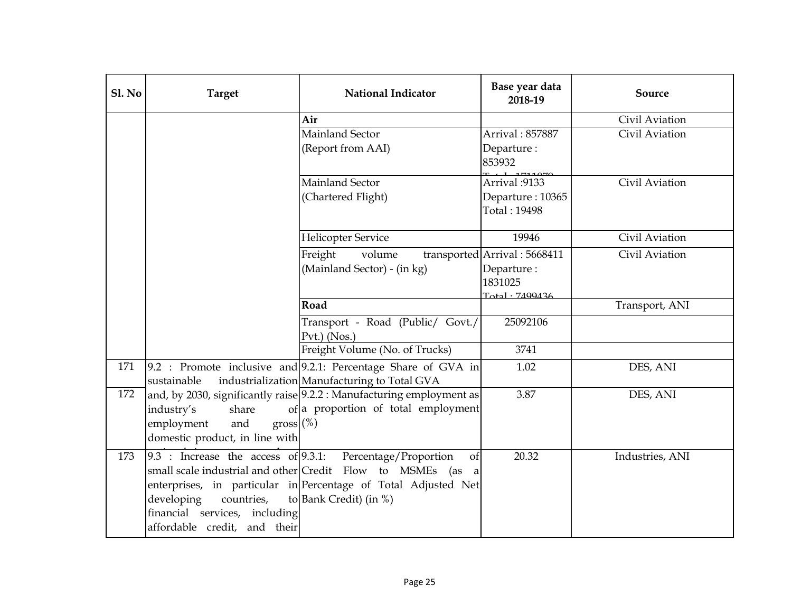| Sl. No | <b>Target</b>                                                                                                                         | <b>National Indicator</b>                                                                                                                                                                 | Base year data<br>2018-19                                                         | Source          |
|--------|---------------------------------------------------------------------------------------------------------------------------------------|-------------------------------------------------------------------------------------------------------------------------------------------------------------------------------------------|-----------------------------------------------------------------------------------|-----------------|
|        |                                                                                                                                       | Air                                                                                                                                                                                       |                                                                                   | Civil Aviation  |
|        |                                                                                                                                       | Mainland Sector<br>(Report from AAI)                                                                                                                                                      | Arrival: 857887<br>Departure:<br>853932                                           | Civil Aviation  |
|        |                                                                                                                                       | Mainland Sector<br>(Chartered Flight)                                                                                                                                                     | Arrival :9133<br>Departure: 10365<br>Total: 19498                                 | Civil Aviation  |
|        |                                                                                                                                       | <b>Helicopter Service</b>                                                                                                                                                                 | 19946                                                                             | Civil Aviation  |
|        |                                                                                                                                       | Freight<br>volume<br>(Mainland Sector) - (in kg)                                                                                                                                          | transported Arrival: 5668411<br>Departure:<br>1831025<br>$T_{\alpha+1}$ . 7400436 | Civil Aviation  |
|        |                                                                                                                                       | Road                                                                                                                                                                                      |                                                                                   | Transport, ANI  |
|        |                                                                                                                                       | Transport - Road (Public/ Govt./<br>$Pvt.$ ) (Nos.)                                                                                                                                       | 25092106                                                                          |                 |
|        |                                                                                                                                       | Freight Volume (No. of Trucks)                                                                                                                                                            | 3741                                                                              |                 |
| 171    | sustainable                                                                                                                           | 9.2 : Promote inclusive and 9.2.1: Percentage Share of GVA in<br>industrialization Manufacturing to Total GVA                                                                             | 1.02                                                                              | DES, ANI        |
| 172    | industry's<br>share<br>$gross$ (%)<br>employment<br>and<br>domestic product, in line with                                             | and, by 2030, significantly raise 9.2.2 : Manufacturing employment as<br>of a proportion of total employment                                                                              | 3.87                                                                              | DES, ANI        |
| 173    | $9.3$ : Increase the access of $9.3.1$ :<br>developing<br>countries,<br>financial services, including<br>affordable credit, and their | Percentage/Proportion<br>of<br>small scale industrial and other Credit Flow to MSMEs (as a<br>enterprises, in particular in Percentage of Total Adjusted Net<br>to Bank Credit) (in $%$ ) | 20.32                                                                             | Industries, ANI |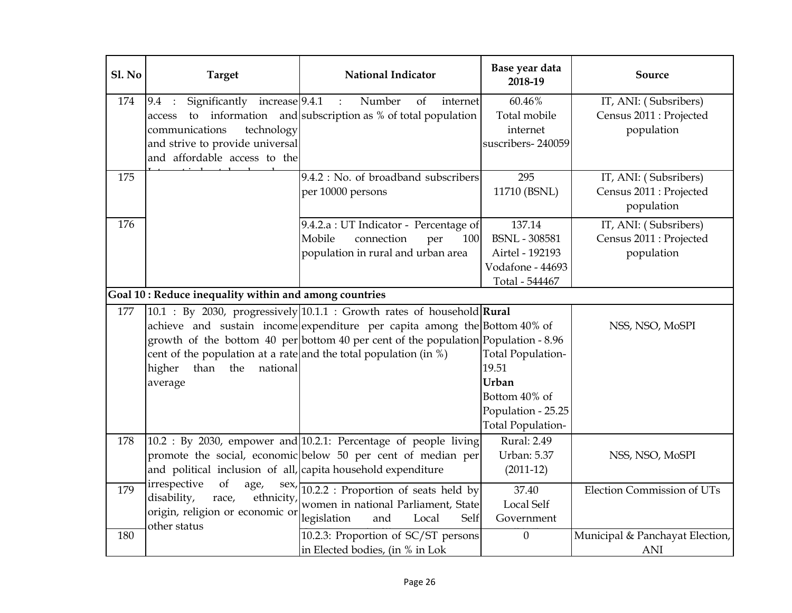| Sl. No | <b>Target</b>                                                                                                                                      | <b>National Indicator</b>                                                                                                                                                                                                                 | Base year data<br>2018-19                                                                                     | Source                                                         |
|--------|----------------------------------------------------------------------------------------------------------------------------------------------------|-------------------------------------------------------------------------------------------------------------------------------------------------------------------------------------------------------------------------------------------|---------------------------------------------------------------------------------------------------------------|----------------------------------------------------------------|
| 174    | Significantly increase 9.4.1<br>9.4 :<br>access<br>communications<br>technology<br>and strive to provide universal<br>and affordable access to the | Number<br>of<br>$\mathbf{r}$<br>internet<br>to information and subscription as % of total population                                                                                                                                      | 60.46%<br>Total mobile<br>internet<br>suscribers-240059                                                       | IT, ANI: (Subsribers)<br>Census 2011 : Projected<br>population |
| 175    |                                                                                                                                                    | 9.4.2 : No. of broadband subscribers<br>per 10000 persons                                                                                                                                                                                 | 295<br>11710 (BSNL)                                                                                           | IT, ANI: (Subsribers)<br>Census 2011 : Projected<br>population |
| 176    |                                                                                                                                                    | 9.4.2.a : UT Indicator - Percentage of<br>Mobile<br>connection<br>per<br>100<br>population in rural and urban area                                                                                                                        | 137.14<br><b>BSNL</b> - 308581<br>Airtel - 192193<br>Vodafone - 44693<br>Total - 544467                       | IT, ANI: (Subsribers)<br>Census 2011 : Projected<br>population |
|        | Goal 10: Reduce inequality within and among countries                                                                                              |                                                                                                                                                                                                                                           |                                                                                                               |                                                                |
| 177    | cent of the population at a rate and the total population (in $\%$ )<br>the<br>national<br>higher<br>than<br>average                               | 10.1 : By 2030, progressively 10.1.1 : Growth rates of household Rural<br>achieve and sustain income expenditure per capita among the Bottom 40% of<br>growth of the bottom 40 per bottom 40 per cent of the population Population - 8.96 | <b>Total Population-</b><br>19.51<br>Urban<br>Bottom 40% of<br>Population - 25.25<br><b>Total Population-</b> | NSS, NSO, MoSPI                                                |
| 178    | and political inclusion of all, capita household expenditure                                                                                       | $10.2$ : By 2030, empower and $10.2.1$ : Percentage of people living<br>promote the social, economic below 50 per cent of median per                                                                                                      | Rural: 2.49<br><b>Urban: 5.37</b><br>$(2011-12)$                                                              | NSS, NSO, MoSPI                                                |
| 179    | irrespective<br>of<br>age,<br>disability,<br>ethnicity,<br>race,<br>origin, religion or economic or<br>other status                                | sex, 10.2.2 : Proportion of seats held by<br>women in national Parliament, State<br>legislation<br>and<br>Local<br>Self                                                                                                                   | 37.40<br><b>Local Self</b><br>Government                                                                      | <b>Election Commission of UTs</b>                              |
| 180    |                                                                                                                                                    | 10.2.3: Proportion of SC/ST persons<br>in Elected bodies, (in % in Lok                                                                                                                                                                    | $\boldsymbol{0}$                                                                                              | Municipal & Panchayat Election,<br><b>ANI</b>                  |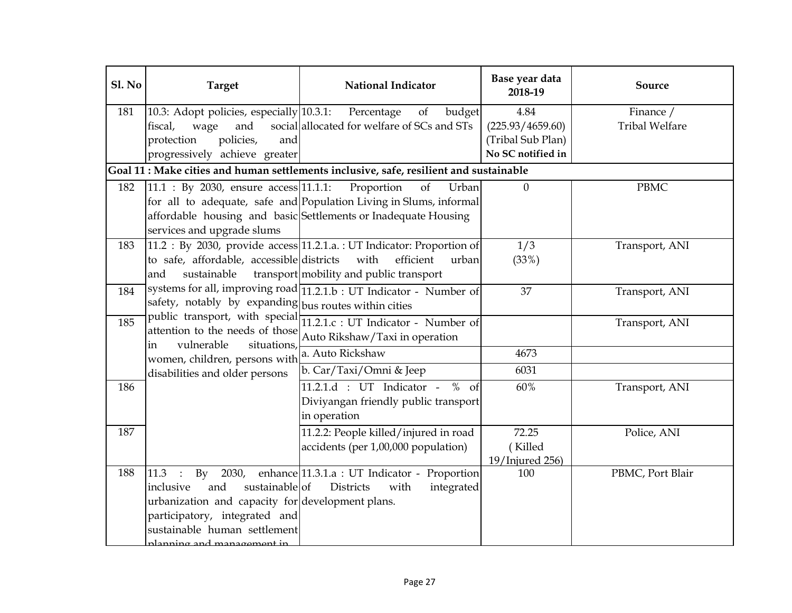| Sl. No | <b>Target</b>                                                                                                                                                                                                       | <b>National Indicator</b>                                                                                                                                         | Base year data<br>2018-19              | Source                             |
|--------|---------------------------------------------------------------------------------------------------------------------------------------------------------------------------------------------------------------------|-------------------------------------------------------------------------------------------------------------------------------------------------------------------|----------------------------------------|------------------------------------|
| 181    | 10.3: Adopt policies, especially 10.3.1:<br>fiscal,<br>and<br>wage                                                                                                                                                  | budget<br>Percentage<br>of<br>social allocated for welfare of SCs and STs                                                                                         | 4.84<br>(225.93/4659.60)               | Finance /<br><b>Tribal Welfare</b> |
|        | policies,<br>protection<br>and<br>progressively achieve greater                                                                                                                                                     |                                                                                                                                                                   | (Tribal Sub Plan)<br>No SC notified in |                                    |
|        |                                                                                                                                                                                                                     | Goal 11 : Make cities and human settlements inclusive, safe, resilient and sustainable                                                                            |                                        |                                    |
| 182    | 11.1 : By 2030, ensure access 11.1.1:<br>services and upgrade slums                                                                                                                                                 | Proportion<br>Urban<br>of<br>for all to adequate, safe and Population Living in Slums, informal<br>affordable housing and basic Settlements or Inadequate Housing | $\boldsymbol{0}$                       | <b>PBMC</b>                        |
| 183    | to safe, affordable, accessible districts<br>sustainable<br>and                                                                                                                                                     | 11.2 : By 2030, provide access 11.2.1.a. : UT Indicator: Proportion of<br>efficient<br>with<br>urban<br>transport mobility and public transport                   | 1/3<br>(33%)                           | Transport, ANI                     |
| 184    | safety, notably by expanding bus routes within cities                                                                                                                                                               | systems for all, improving road 11.2.1.b : UT Indicator - Number of                                                                                               | 37                                     | Transport, ANI                     |
| 185    | public transport, with special<br>attention to the needs of those<br>vulnerable                                                                                                                                     | 11.2.1.c : UT Indicator - Number of<br>Auto Rikshaw/Taxi in operation                                                                                             |                                        | Transport, ANI                     |
|        | situations,<br>in<br>women, children, persons with                                                                                                                                                                  | a. Auto Rickshaw                                                                                                                                                  | 4673                                   |                                    |
|        | disabilities and older persons                                                                                                                                                                                      | b. Car/Taxi/Omni & Jeep                                                                                                                                           | 6031                                   |                                    |
| 186    |                                                                                                                                                                                                                     | $11.2.1.d$ : UT Indicator - % of<br>Diviyangan friendly public transport<br>in operation                                                                          | 60%                                    | Transport, ANI                     |
| 187    |                                                                                                                                                                                                                     | 11.2.2: People killed/injured in road<br>accidents (per 1,00,000 population)                                                                                      | 72.25<br>(Killed<br>19/Injured 256)    | Police, ANI                        |
| 188    | 11.3<br>$\rm{By}$<br>2030,<br>sustainable of<br>inclusive<br>and<br>urbanization and capacity for development plans.<br>participatory, integrated and<br>sustainable human settlement<br>planning and management in | enhance 11.3.1.a : UT Indicator - Proportion<br><b>Districts</b><br>integrated<br>with                                                                            | 100                                    | PBMC, Port Blair                   |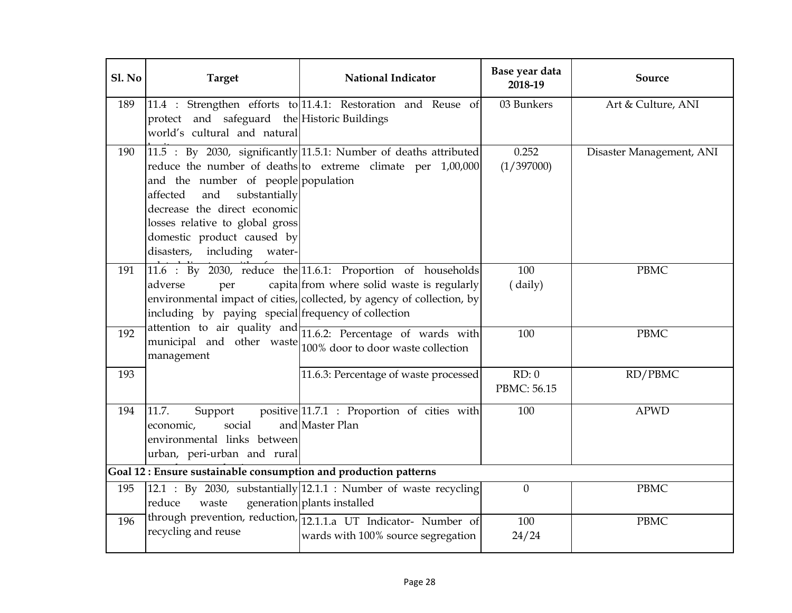| Sl. No | <b>Target</b>                                                                                                                                                                                                 | <b>National Indicator</b>                                                                                                                                                                    | Base year data<br>2018-19 | Source                   |
|--------|---------------------------------------------------------------------------------------------------------------------------------------------------------------------------------------------------------------|----------------------------------------------------------------------------------------------------------------------------------------------------------------------------------------------|---------------------------|--------------------------|
| 189    | protect and safeguard the Historic Buildings<br>world's cultural and natural                                                                                                                                  | 11.4 : Strengthen efforts to 11.4.1: Restoration and Reuse of                                                                                                                                | 03 Bunkers                | Art & Culture, ANI       |
| 190    | and the number of people population<br>and<br>substantially<br>affected<br>decrease the direct economic<br>losses relative to global gross<br>domestic product caused by<br>disasters,<br>including<br>water- | 11.5 : By 2030, significantly 11.5.1: Number of deaths attributed<br>reduce the number of deaths to extreme climate per 1,00,000                                                             | 0.252<br>(1/397000)       | Disaster Management, ANI |
| 191    | adverse<br>per<br>including by paying special frequency of collection                                                                                                                                         | $11.6$ : By 2030, reduce the $11.6.1$ : Proportion of households<br>capita from where solid waste is regularly<br>environmental impact of cities, collected, by agency of collection, by     | 100<br>(daily)            | <b>PBMC</b>              |
| 192    | management                                                                                                                                                                                                    | attention to air quality and $\frac{1}{11.6.2}$ : Percentage of wards with<br>municipal and other waste $\begin{bmatrix} 1 & 0 & 0 \\ 1 & 0 & 0 \\ 0 & 0 & 0 \end{bmatrix}$ waste collection | 100                       | <b>PBMC</b>              |
| 193    |                                                                                                                                                                                                               | 11.6.3: Percentage of waste processed                                                                                                                                                        | RD: 0<br>PBMC: 56.15      | RD/PBMC                  |
| 194    | 11.7.<br>Support<br>social<br>economic,<br>environmental links between<br>urban, peri-urban and rural                                                                                                         | positive 11.7.1 : Proportion of cities with<br>and Master Plan                                                                                                                               | 100                       | <b>APWD</b>              |
|        | Goal 12: Ensure sustainable consumption and production patterns                                                                                                                                               |                                                                                                                                                                                              |                           |                          |
| 195    | waste<br>reduce                                                                                                                                                                                               | 12.1 : By 2030, substantially $ 12.1.1$ : Number of waste recycling<br>generation plants installed                                                                                           | $\overline{0}$            | <b>PBMC</b>              |
| 196    | recycling and reuse                                                                                                                                                                                           | through prevention, reduction, 12.1.1.a UT Indicator- Number of<br>wards with 100% source segregation                                                                                        | 100<br>24/24              | <b>PBMC</b>              |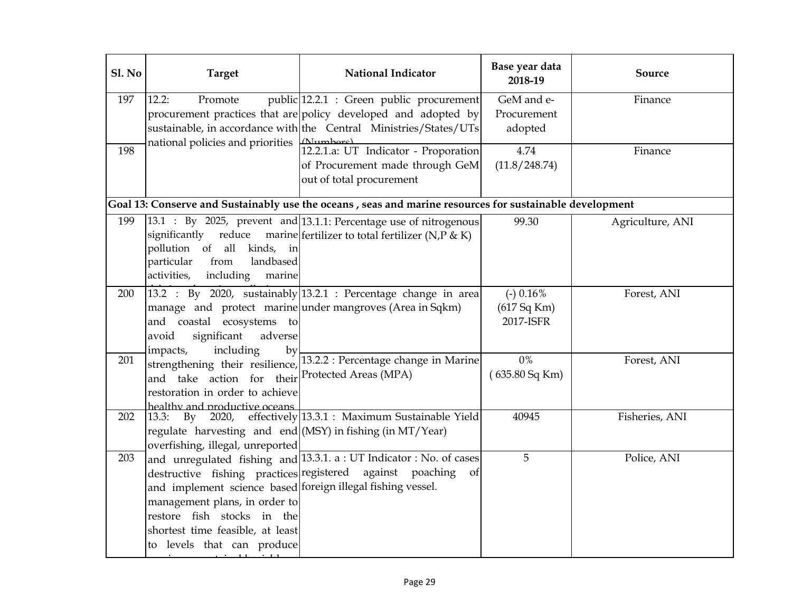| Sl. No | <b>Target</b>                                                                                                                                                                                | <b>National Indicator</b>                                                                                                                                                       | Base year data<br>2018-19               | Source           |
|--------|----------------------------------------------------------------------------------------------------------------------------------------------------------------------------------------------|---------------------------------------------------------------------------------------------------------------------------------------------------------------------------------|-----------------------------------------|------------------|
| 197    | 12.2:<br>Promote<br>national policies and priorities [Alumbers]                                                                                                                              | public 12.2.1 : Green public procurement<br>procurement practices that are policy developed and adopted by<br>sustainable, in accordance with the Central Ministries/States/UTs | GeM and e-<br>Procurement<br>adopted    | Finance          |
| 198    |                                                                                                                                                                                              | 12.2.1.a: UT Indicator - Proporation<br>of Procurement made through GeM<br>out of total procurement                                                                             | 4.74<br>(11.8/248.74)                   | Finance          |
|        |                                                                                                                                                                                              | Goal 13: Conserve and Sustainably use the oceans, seas and marine resources for sustainable development                                                                         |                                         |                  |
| 199    | pollution of all kinds, in<br>landbased<br>particular<br>from<br>activities,<br>including<br>marine                                                                                          | 13.1 : By 2025, prevent and 13.1.1: Percentage use of nitrogenous<br>significantly reduce marine fertilizer to total fertilizer (N,P & K)                                       | 99.30                                   | Agriculture, ANI |
| 200    | and coastal ecosystems to<br>significant<br>avoid<br>adverse<br>including<br>impacts,<br>by                                                                                                  | 13.2 : By 2020, sustainably $13.2.1$ : Percentage change in area<br>manage and protect marine under mangroves (Area in Sqkm)                                                    | $(-)$ 0.16%<br>(617 Sq Km)<br>2017-ISFR | Forest, ANI      |
| 201    | strengthening their resilience,<br>and take action for their<br>restoration in order to achieve<br>healthy and productive oceans                                                             | 13.2.2 : Percentage change in Marine<br>Protected Areas (MPA)                                                                                                                   | $0\%$<br>(635.80 Sq Km)                 | Forest, ANI      |
| 202    | 13.3:<br>Bv<br>2020,<br>regulate harvesting and end (MSY) in fishing (in MT/Year)<br>overfishing, illegal, unreported                                                                        | effectively 13.3.1 : Maximum Sustainable Yield                                                                                                                                  | 40945                                   | Fisheries, ANI   |
| 203    | and implement science based foreign illegal fishing vessel.<br>management plans, in order to<br>restore fish stocks in the<br>shortest time feasible, at least<br>to levels that can produce | and unregulated fishing and $ 13.3.1$ . a : UT Indicator : No. of cases<br>destructive fishing practices registered against poaching<br>of                                      | 5                                       | Police, ANI      |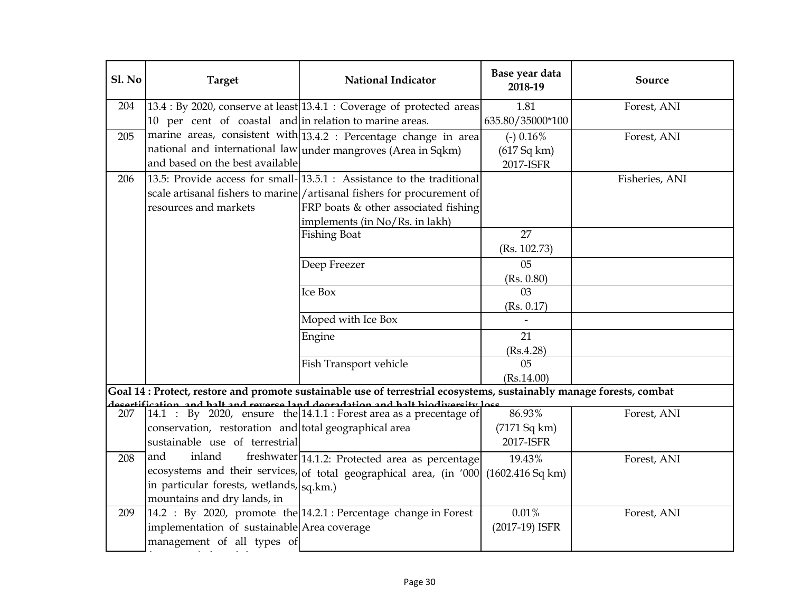| Sl. No | <b>Target</b>                                           | <b>National Indicator</b>                                                                                                                                   | Base year data<br>2018-19 | Source         |
|--------|---------------------------------------------------------|-------------------------------------------------------------------------------------------------------------------------------------------------------------|---------------------------|----------------|
| 204    |                                                         | $13.4:$ By 2020, conserve at least $13.4.1:$ Coverage of protected areas                                                                                    | 1.81                      | Forest, ANI    |
|        | 10 per cent of coastal and in relation to marine areas. |                                                                                                                                                             | 635.80/35000*100          |                |
| 205    |                                                         | marine areas, consistent with $\overline{13.4.2}$ : Percentage change in area                                                                               | $(-)$ 0.16%               | Forest, ANI    |
|        |                                                         | national and international law under mangroves (Area in Sqkm)                                                                                               | (617 Sq km)               |                |
|        | and based on the best available                         |                                                                                                                                                             | 2017-ISFR                 |                |
| 206    |                                                         | 13.5: Provide access for small-13.5.1 : Assistance to the traditional                                                                                       |                           | Fisheries, ANI |
|        |                                                         | scale artisanal fishers to marine/artisanal fishers for procurement of                                                                                      |                           |                |
|        | resources and markets                                   | FRP boats & other associated fishing                                                                                                                        |                           |                |
|        |                                                         | implements (in No/Rs. in lakh)                                                                                                                              |                           |                |
|        |                                                         | <b>Fishing Boat</b>                                                                                                                                         | 27                        |                |
|        |                                                         |                                                                                                                                                             | (Rs. 102.73)              |                |
|        |                                                         | Deep Freezer                                                                                                                                                | 0 <sub>5</sub>            |                |
|        |                                                         |                                                                                                                                                             | (Rs. 0.80)                |                |
|        |                                                         | <b>Ice Box</b>                                                                                                                                              | 03                        |                |
|        |                                                         |                                                                                                                                                             | (Rs. 0.17)                |                |
|        |                                                         | Moped with Ice Box                                                                                                                                          |                           |                |
|        |                                                         | Engine                                                                                                                                                      | 21                        |                |
|        |                                                         |                                                                                                                                                             | (Rs.4.28)                 |                |
|        |                                                         | Fish Transport vehicle                                                                                                                                      | 05                        |                |
|        |                                                         |                                                                                                                                                             | (Rs.14.00)                |                |
|        |                                                         | Goal 14: Protect, restore and promote sustainable use of terrestrial ecosystems, sustainably manage forests, combat                                         |                           |                |
| 207    |                                                         | docortification, and halt and roworco land dogradation and halt hiodiworcity loce<br>$14.1$ : By 2020, ensure the $14.1.1$ : Forest area as a precentage of | 86.93%                    | Forest, ANI    |
|        | conservation, restoration and total geographical area   |                                                                                                                                                             | (7171 Sq km)              |                |
|        | sustainable use of terrestrial                          |                                                                                                                                                             | 2017-ISFR                 |                |
| 208    | and<br>inland                                           | freshwater 14.1.2: Protected area as percentage                                                                                                             | 19.43%                    | Forest, ANI    |
|        |                                                         | ecosystems and their services, of total geographical area, (in '000 (1602.416 Sq km)                                                                        |                           |                |
|        | in particular forests, wetlands, <sub>Sq.km.</sub> )    |                                                                                                                                                             |                           |                |
|        | mountains and dry lands, in                             |                                                                                                                                                             |                           |                |
| 209    |                                                         | 14.2 : By 2020, promote the 14.2.1 : Percentage change in Forest                                                                                            | 0.01%                     | Forest, ANI    |
|        | implementation of sustainable Area coverage             |                                                                                                                                                             | (2017-19) ISFR            |                |
|        | management of all types of                              |                                                                                                                                                             |                           |                |
|        |                                                         |                                                                                                                                                             |                           |                |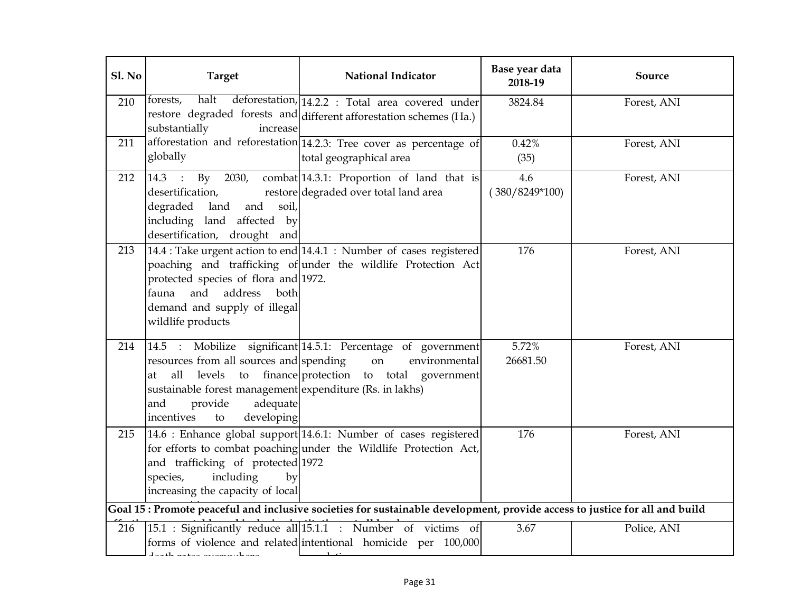| Sl. No | <b>Target</b>                                                                                                                                                                           | <b>National Indicator</b>                                                                                                             | Base year data<br>2018-19 | Source      |
|--------|-----------------------------------------------------------------------------------------------------------------------------------------------------------------------------------------|---------------------------------------------------------------------------------------------------------------------------------------|---------------------------|-------------|
| 210    | forests,<br>substantially<br>increase                                                                                                                                                   | halt deforestation, 14.2.2 : Total area covered under<br>restore degraded forests and different afforestation schemes (Ha.)           | 3824.84                   | Forest, ANI |
| 211    | globally                                                                                                                                                                                | afforestation and reforestation 14.2.3: Tree cover as percentage of<br>total geographical area                                        | 0.42%<br>(35)             | Forest, ANI |
| 212    | desertification,<br>and<br>degraded<br>soil,<br>land<br>including land affected by<br>desertification, drought and                                                                      | $ 14.3$ : By 2030, combat $ 14.3.1$ : Proportion of land that is<br>restore degraded over total land area                             | 4.6<br>$(380/8249*100)$   | Forest, ANI |
| 213    | protected species of flora and 1972.<br>and<br>address<br>fauna<br>both<br>demand and supply of illegal<br>wildlife products                                                            | 14.4 : Take urgent action to end 14.4.1 : Number of cases registered<br>poaching and trafficking of under the wildlife Protection Act | 176                       | Forest, ANI |
| 214    | resources from all sources and spending<br>all levels<br>at<br>sustainable forest management expenditure (Rs. in lakhs)<br>adequate<br>provide<br>and<br>incentives<br>developing<br>to | 14.5 : Mobilize significant 14.5.1: Percentage of government<br>on<br>environmental<br>to finance protection to total government      | 5.72%<br>26681.50         | Forest, ANI |
| 215    | and trafficking of protected 1972<br>including<br>species,<br>by<br>increasing the capacity of local                                                                                    | 14.6 : Enhance global support 14.6.1: Number of cases registered<br>for efforts to combat poaching under the Wildlife Protection Act, | 176                       | Forest, ANI |
|        |                                                                                                                                                                                         | Goal 15: Promote peaceful and inclusive societies for sustainable development, provide access to justice for all and build            |                           |             |
| 216    | ومتواطئ ستستحدث ومقتبته والقمامة                                                                                                                                                        | 15.1 : Significantly reduce all 15.1.1 : Number of victims of<br>forms of violence and related intentional homicide per 100,000       | 3.67                      | Police, ANI |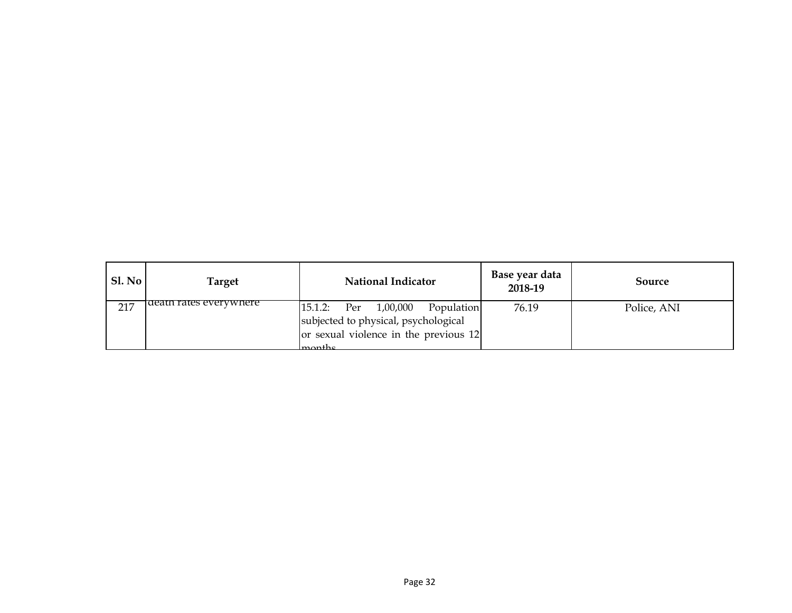| SI. No | Target                 | <b>National Indicator</b>               | Base year data<br>2018-19 | Source      |
|--------|------------------------|-----------------------------------------|---------------------------|-------------|
| 217    | death rates everywhere | $15.1.2$ : Per $1,00,000$<br>Population | 76.19                     | Police, ANI |
|        |                        | subjected to physical, psychological    |                           |             |
|        |                        | or sexual violence in the previous 12   |                           |             |
|        |                        | $l$ monthe                              |                           |             |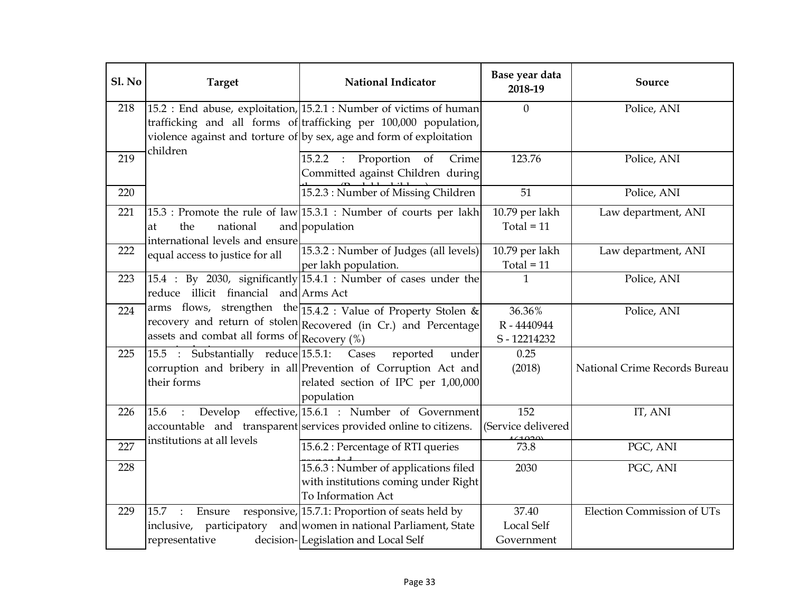| Sl. No | <b>Target</b>                                                     | <b>National Indicator</b>                                                                                                                                                                                       | Base year data<br>2018-19                | Source                            |
|--------|-------------------------------------------------------------------|-----------------------------------------------------------------------------------------------------------------------------------------------------------------------------------------------------------------|------------------------------------------|-----------------------------------|
| 218    | children                                                          | 15.2 : End abuse, exploitation, 15.2.1 : Number of victims of human<br>trafficking and all forms of trafficking per 100,000 population,<br>violence against and torture of by sex, age and form of exploitation | $\overline{0}$                           | Police, ANI                       |
| 219    |                                                                   | 15.2.2 : Proportion<br>of<br>Crime<br>Committed against Children during                                                                                                                                         | 123.76                                   | Police, ANI                       |
| 220    |                                                                   | 15.2.3 : Number of Missing Children                                                                                                                                                                             | 51                                       | Police, ANI                       |
| 221    | the<br>national<br>at<br>international levels and ensure          | $15.3$ : Promote the rule of law $15.3.1$ : Number of courts per lakh<br>and population                                                                                                                         | 10.79 per lakh<br>Total = $11$           | Law department, ANI               |
| 222    | equal access to justice for all                                   | 15.3.2 : Number of Judges (all levels)<br>per lakh population.                                                                                                                                                  | 10.79 per lakh<br>Total = $11$           | Law department, ANI               |
| 223    | reduce illicit financial and Arms Act                             | 15.4 : By 2030, significantly 15.4.1 : Number of cases under the                                                                                                                                                | 1                                        | Police, ANI                       |
| 224    | assets and combat all forms of $ $ Recovery (%)                   | arms flows, strengthen the 15.4.2 : Value of Property Stolen &<br>recovery and return of stolen Recovered (in Cr.) and Percentage                                                                               | 36.36%<br>R-4440944<br>S-12214232        | Police, ANI                       |
| 225    | 15.5 : Substantially reduce 15.5.1:<br>their forms                | Cases<br>reported<br>under<br>corruption and bribery in all Prevention of Corruption Act and<br>related section of IPC per 1,00,000<br>population                                                               | 0.25<br>(2018)                           | National Crime Records Bureau     |
| 226    | 15.6<br>Develop<br>$\mathcal{L}$                                  | effective, 15.6.1 : Number of Government<br>accountable and transparent services provided online to citizens.                                                                                                   | 152<br>(Service delivered                | IT, ANI                           |
| 227    | institutions at all levels                                        | 15.6.2 : Percentage of RTI queries                                                                                                                                                                              | 73.8                                     | PGC, ANI                          |
| 228    |                                                                   | 15.6.3 : Number of applications filed<br>with institutions coming under Right<br>To Information Act                                                                                                             | 2030                                     | PGC, ANI                          |
| 229    | 15.7 :<br>Ensure<br>participatory<br>inclusive,<br>representative | responsive, 15.7.1: Proportion of seats held by<br>and women in national Parliament, State<br>decision-Legislation and Local Self                                                                               | 37.40<br><b>Local Self</b><br>Government | <b>Election Commission of UTs</b> |